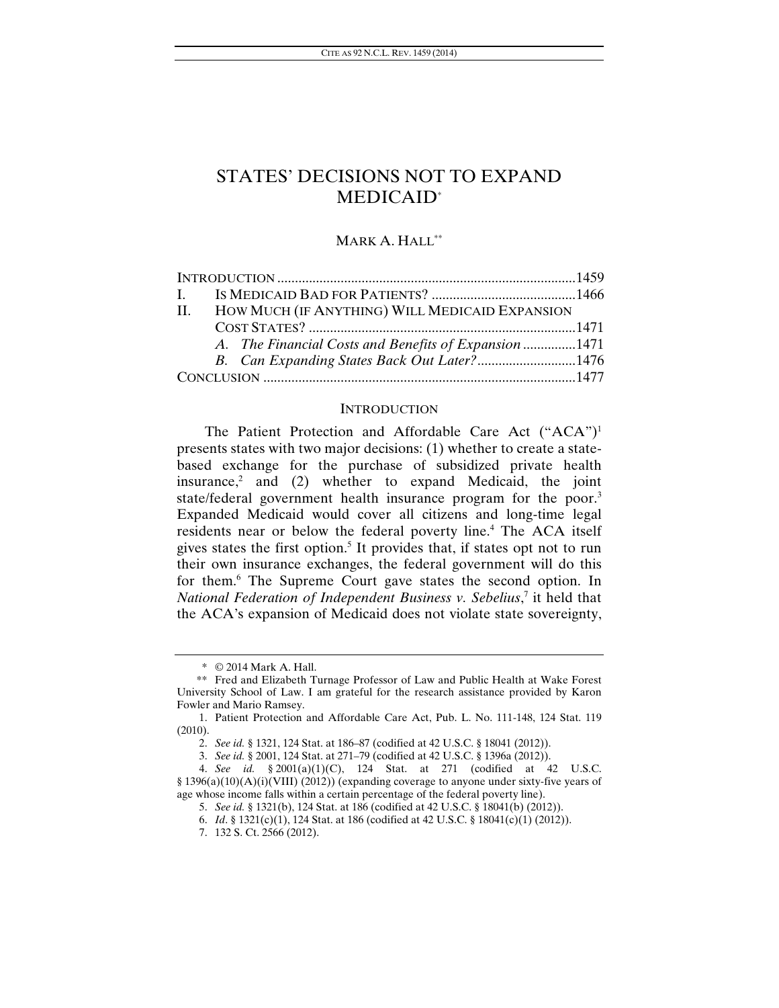# MARK A. HALL\*\*

| II. HOW MUCH (IF ANYTHING) WILL MEDICAID EXPANSION |                                                      |  |
|----------------------------------------------------|------------------------------------------------------|--|
|                                                    |                                                      |  |
|                                                    | A. The Financial Costs and Benefits of Expansion1471 |  |
|                                                    | B. Can Expanding States Back Out Later?1476          |  |
|                                                    |                                                      |  |
|                                                    |                                                      |  |

#### **INTRODUCTION**

The Patient Protection and Affordable Care Act ("ACA")<sup>1</sup> presents states with two major decisions: (1) whether to create a statebased exchange for the purchase of subsidized private health insurance, $2$  and (2) whether to expand Medicaid, the joint state/federal government health insurance program for the poor.<sup>3</sup> Expanded Medicaid would cover all citizens and long-time legal residents near or below the federal poverty line.<sup>4</sup> The ACA itself gives states the first option.<sup>5</sup> It provides that, if states opt not to run their own insurance exchanges, the federal government will do this for them.<sup>6</sup> The Supreme Court gave states the second option. In *National Federation of Independent Business v. Sebelius*, 7 it held that the ACA's expansion of Medicaid does not violate state sovereignty,

 <sup>\* © 2014</sup> Mark A. Hall.

 <sup>\*\*</sup> Fred and Elizabeth Turnage Professor of Law and Public Health at Wake Forest University School of Law. I am grateful for the research assistance provided by Karon Fowler and Mario Ramsey.

 <sup>1.</sup> Patient Protection and Affordable Care Act, Pub. L. No. 111-148, 124 Stat. 119 (2010).

<sup>2.</sup> *See id.* § 1321, 124 Stat. at 186–87 (codified at 42 U.S.C. § 18041 (2012)).

<sup>3.</sup> *See id.* § 2001, 124 Stat. at 271–79 (codified at 42 U.S.C. § 1396a (2012)).

<sup>4.</sup> *See id.* § 2001(a)(1)(C), 124 Stat. at 271 (codified at 42 U.S.C. § 1396(a)(10)(A)(i)(VIII) (2012)) (expanding coverage to anyone under sixty-five years of age whose income falls within a certain percentage of the federal poverty line).

<sup>5.</sup> *See id.* § 1321(b), 124 Stat. at 186 (codified at 42 U.S.C. § 18041(b) (2012)).

<sup>6.</sup> *Id*. § 1321(c)(1), 124 Stat. at 186 (codified at 42 U.S.C. § 18041(c)(1) (2012)).

 <sup>7. 132</sup> S. Ct. 2566 (2012).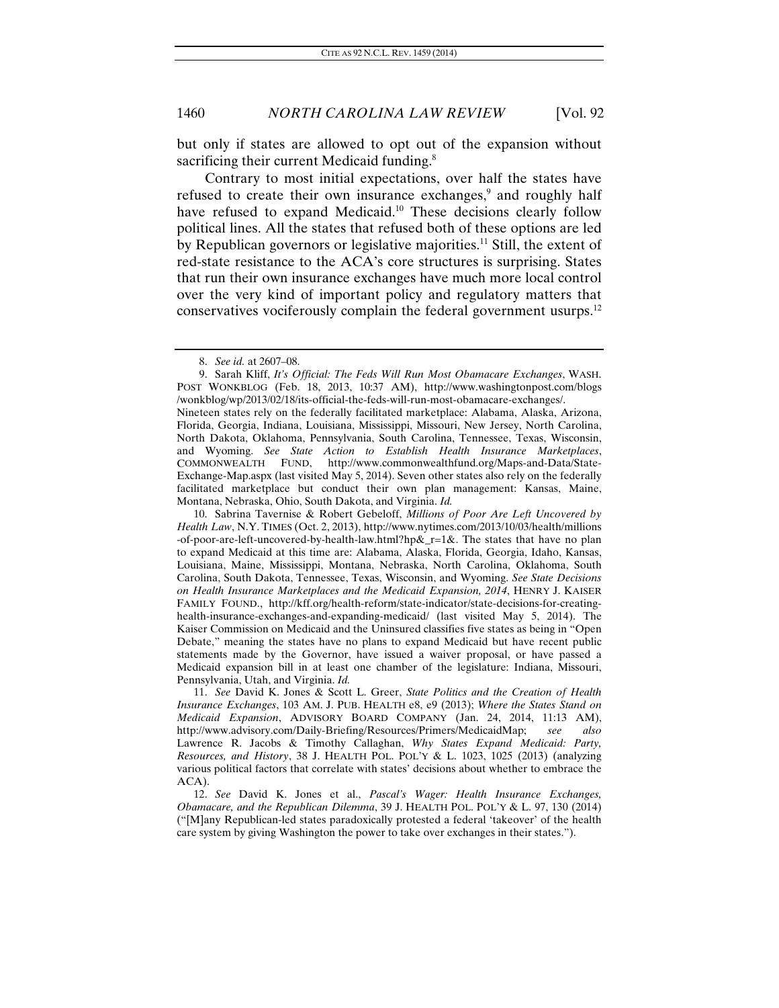but only if states are allowed to opt out of the expansion without sacrificing their current Medicaid funding.<sup>8</sup>

Contrary to most initial expectations, over half the states have refused to create their own insurance exchanges,<sup>9</sup> and roughly half have refused to expand Medicaid.<sup>10</sup> These decisions clearly follow political lines. All the states that refused both of these options are led by Republican governors or legislative majorities.<sup>11</sup> Still, the extent of red-state resistance to the ACA's core structures is surprising. States that run their own insurance exchanges have much more local control over the very kind of important policy and regulatory matters that conservatives vociferously complain the federal government usurps.12

<sup>8.</sup> *See id.* at 2607–08.

 <sup>9.</sup> Sarah Kliff, *It's Official: The Feds Will Run Most Obamacare Exchanges*, WASH. POST WONKBLOG (Feb. 18, 2013, 10:37 AM), http://www.washingtonpost.com/blogs /wonkblog/wp/2013/02/18/its-official-the-feds-will-run-most-obamacare-exchanges/.

Nineteen states rely on the federally facilitated marketplace: Alabama, Alaska, Arizona, Florida, Georgia, Indiana, Louisiana, Mississippi, Missouri, New Jersey, North Carolina, North Dakota, Oklahoma, Pennsylvania, South Carolina, Tennessee, Texas, Wisconsin, and Wyoming. *See State Action to Establish Health Insurance Marketplaces*, COMMONWEALTH FUND, http://www.commonwealthfund.org/Maps-and-Data/State-Exchange-Map.aspx (last visited May 5, 2014). Seven other states also rely on the federally facilitated marketplace but conduct their own plan management: Kansas, Maine, Montana, Nebraska, Ohio, South Dakota, and Virginia. *Id.*

 <sup>10.</sup> Sabrina Tavernise & Robert Gebeloff, *Millions of Poor Are Left Uncovered by Health Law*, N.Y. TIMES (Oct. 2, 2013), http://www.nytimes.com/2013/10/03/health/millions -of-poor-are-left-uncovered-by-health-law.html?hp&\_r=1&. The states that have no plan to expand Medicaid at this time are: Alabama, Alaska, Florida, Georgia, Idaho, Kansas, Louisiana, Maine, Mississippi, Montana, Nebraska, North Carolina, Oklahoma, South Carolina, South Dakota, Tennessee, Texas, Wisconsin, and Wyoming. *See State Decisions on Health Insurance Marketplaces and the Medicaid Expansion, 2014*, HENRY J. KAISER FAMILY FOUND., http://kff.org/health-reform/state-indicator/state-decisions-for-creatinghealth-insurance-exchanges-and-expanding-medicaid/ (last visited May 5, 2014). The Kaiser Commission on Medicaid and the Uninsured classifies five states as being in "Open Debate," meaning the states have no plans to expand Medicaid but have recent public statements made by the Governor, have issued a waiver proposal, or have passed a Medicaid expansion bill in at least one chamber of the legislature: Indiana, Missouri, Pennsylvania, Utah, and Virginia. *Id.* 

<sup>11.</sup> *See* David K. Jones & Scott L. Greer, *State Politics and the Creation of Health Insurance Exchanges*, 103 AM. J. PUB. HEALTH e8, e9 (2013); *Where the States Stand on Medicaid Expansion*, ADVISORY BOARD COMPANY (Jan. 24, 2014, 11:13 AM), http://www.advisory.com/Daily-Briefing/Resources/Primers/MedicaidMap; *see also* Lawrence R. Jacobs & Timothy Callaghan, *Why States Expand Medicaid: Party, Resources, and History*, 38 J. HEALTH POL. POL'Y & L. 1023, 1025 (2013) (analyzing various political factors that correlate with states' decisions about whether to embrace the ACA).

<sup>12.</sup> *See* David K. Jones et al., *Pascal's Wager: Health Insurance Exchanges, Obamacare, and the Republican Dilemma*, 39 J. HEALTH POL. POL'Y & L. 97, 130 (2014) ("[M]any Republican-led states paradoxically protested a federal 'takeover' of the health care system by giving Washington the power to take over exchanges in their states.").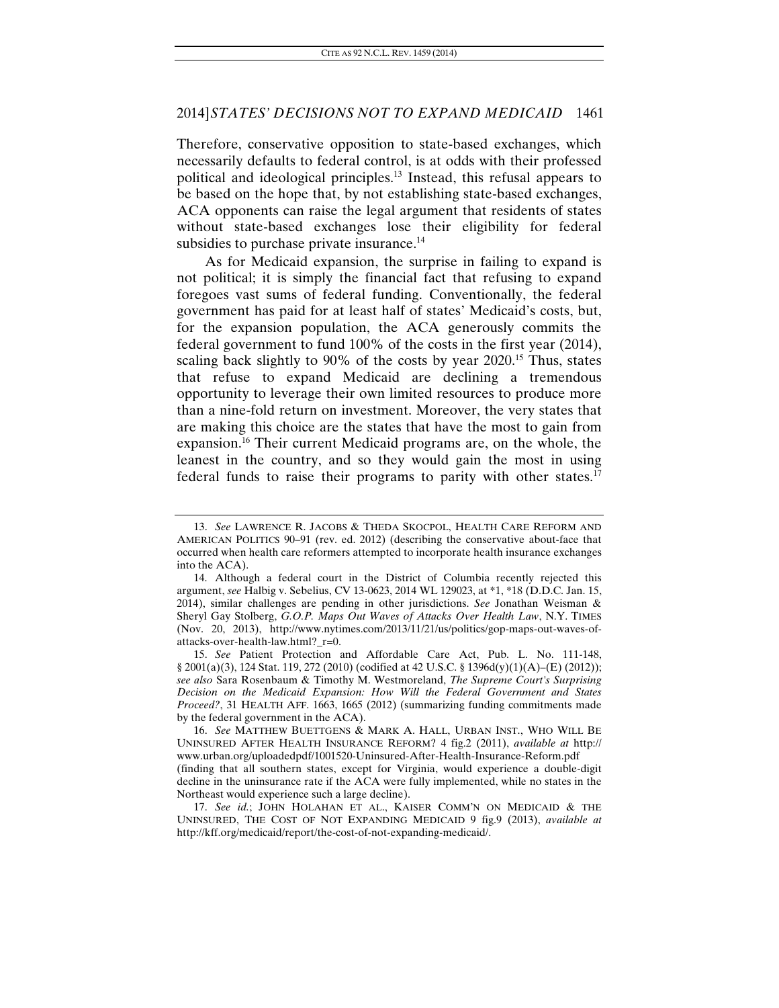Therefore, conservative opposition to state-based exchanges, which necessarily defaults to federal control, is at odds with their professed political and ideological principles.13 Instead, this refusal appears to be based on the hope that, by not establishing state-based exchanges, ACA opponents can raise the legal argument that residents of states without state-based exchanges lose their eligibility for federal subsidies to purchase private insurance.<sup>14</sup>

As for Medicaid expansion, the surprise in failing to expand is not political; it is simply the financial fact that refusing to expand foregoes vast sums of federal funding. Conventionally, the federal government has paid for at least half of states' Medicaid's costs, but, for the expansion population, the ACA generously commits the federal government to fund 100% of the costs in the first year (2014), scaling back slightly to 90% of the costs by year 2020.<sup>15</sup> Thus, states that refuse to expand Medicaid are declining a tremendous opportunity to leverage their own limited resources to produce more than a nine-fold return on investment. Moreover, the very states that are making this choice are the states that have the most to gain from expansion.16 Their current Medicaid programs are, on the whole, the leanest in the country, and so they would gain the most in using federal funds to raise their programs to parity with other states.<sup>17</sup>

15. *See* Patient Protection and Affordable Care Act, Pub. L. No. 111-148, § 2001(a)(3), 124 Stat. 119, 272 (2010) (codified at 42 U.S.C. § 1396d(y)(1)(A)–(E) (2012)); *see also* Sara Rosenbaum & Timothy M. Westmoreland, *The Supreme Court's Surprising Decision on the Medicaid Expansion: How Will the Federal Government and States Proceed?*, 31 HEALTH AFF. 1663, 1665 (2012) (summarizing funding commitments made by the federal government in the ACA).

16. *See* MATTHEW BUETTGENS & MARK A. HALL, URBAN INST., WHO WILL BE UNINSURED AFTER HEALTH INSURANCE REFORM? 4 fig.2 (2011), *available at* http:// www.urban.org/uploadedpdf/1001520-Uninsured-After-Health-Insurance-Reform.pdf (finding that all southern states, except for Virginia, would experience a double-digit decline in the uninsurance rate if the ACA were fully implemented, while no states in the Northeast would experience such a large decline).

17. *See id.*; JOHN HOLAHAN ET AL., KAISER COMM'N ON MEDICAID & THE UNINSURED, THE COST OF NOT EXPANDING MEDICAID 9 fig.9 (2013), *available at*  http://kff.org/medicaid/report/the-cost-of-not-expanding-medicaid/.

<sup>13.</sup> *See* LAWRENCE R. JACOBS & THEDA SKOCPOL, HEALTH CARE REFORM AND AMERICAN POLITICS 90–91 (rev. ed. 2012) (describing the conservative about-face that occurred when health care reformers attempted to incorporate health insurance exchanges into the ACA).

 <sup>14.</sup> Although a federal court in the District of Columbia recently rejected this argument, *see* Halbig v. Sebelius, CV 13-0623, 2014 WL 129023, at \*1, \*18 (D.D.C. Jan. 15, 2014), similar challenges are pending in other jurisdictions. *See* Jonathan Weisman & Sheryl Gay Stolberg, *G.O.P. Maps Out Waves of Attacks Over Health Law*, N.Y. TIMES (Nov. 20, 2013), http://www.nytimes.com/2013/11/21/us/politics/gop-maps-out-waves-ofattacks-over-health-law.html?\_r=0.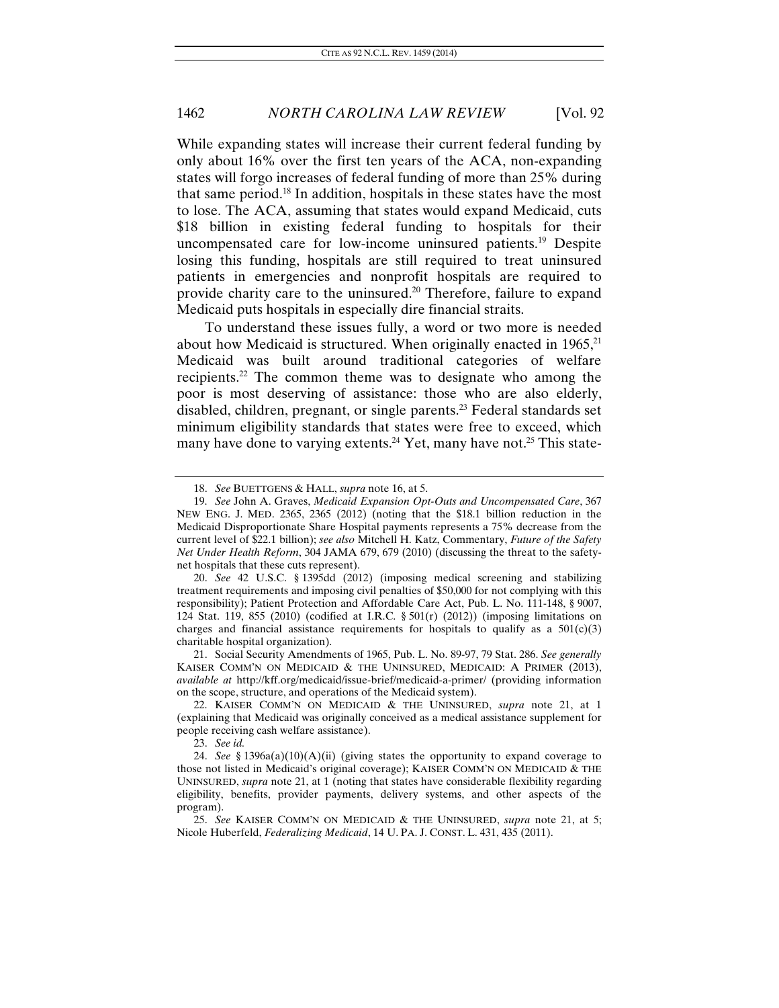While expanding states will increase their current federal funding by only about 16% over the first ten years of the ACA, non-expanding states will forgo increases of federal funding of more than 25% during that same period.18 In addition, hospitals in these states have the most to lose. The ACA, assuming that states would expand Medicaid, cuts \$18 billion in existing federal funding to hospitals for their uncompensated care for low-income uninsured patients.19 Despite losing this funding, hospitals are still required to treat uninsured patients in emergencies and nonprofit hospitals are required to provide charity care to the uninsured.<sup>20</sup> Therefore, failure to expand Medicaid puts hospitals in especially dire financial straits.

To understand these issues fully, a word or two more is needed about how Medicaid is structured. When originally enacted in  $1965$ <sup>21</sup> Medicaid was built around traditional categories of welfare recipients.22 The common theme was to designate who among the poor is most deserving of assistance: those who are also elderly, disabled, children, pregnant, or single parents.23 Federal standards set minimum eligibility standards that states were free to exceed, which many have done to varying extents.<sup>24</sup> Yet, many have not.<sup>25</sup> This state-

 21. Social Security Amendments of 1965, Pub. L. No. 89-97, 79 Stat. 286. *See generally* KAISER COMM'N ON MEDICAID & THE UNINSURED, MEDICAID: A PRIMER (2013), *available at* http://kff.org/medicaid/issue-brief/medicaid-a-primer/ (providing information on the scope, structure, and operations of the Medicaid system).

 22. KAISER COMM'N ON MEDICAID & THE UNINSURED, *supra* note 21, at 1 (explaining that Medicaid was originally conceived as a medical assistance supplement for people receiving cash welfare assistance).

23. *See id.*

<sup>18.</sup> *See* BUETTGENS & HALL, *supra* note 16, at 5.

 <sup>19.</sup> *See* John A. Graves, *Medicaid Expansion Opt-Outs and Uncompensated Care*, 367 NEW ENG. J. MED. 2365, 2365 (2012) (noting that the \$18.1 billion reduction in the Medicaid Disproportionate Share Hospital payments represents a 75% decrease from the current level of \$22.1 billion); *see also* Mitchell H. Katz, Commentary, *Future of the Safety Net Under Health Reform*, 304 JAMA 679, 679 (2010) (discussing the threat to the safetynet hospitals that these cuts represent).

<sup>20.</sup> *See* 42 U.S.C. § 1395dd (2012) (imposing medical screening and stabilizing treatment requirements and imposing civil penalties of \$50,000 for not complying with this responsibility); Patient Protection and Affordable Care Act, Pub. L. No. 111-148, § 9007, 124 Stat. 119, 855 (2010) (codified at I.R.C.  $\S 501(r)$  (2012)) (imposing limitations on charges and financial assistance requirements for hospitals to qualify as a  $501(c)(3)$ charitable hospital organization).

<sup>24.</sup> *See* § 1396a(a)(10)(A)(ii) (giving states the opportunity to expand coverage to those not listed in Medicaid's original coverage); KAISER COMM'N ON MEDICAID & THE UNINSURED, *supra* note 21, at 1 (noting that states have considerable flexibility regarding eligibility, benefits, provider payments, delivery systems, and other aspects of the program).

<sup>25.</sup> *See* KAISER COMM'N ON MEDICAID & THE UNINSURED, *supra* note 21, at 5; Nicole Huberfeld, *Federalizing Medicaid*, 14 U. PA. J. CONST. L. 431, 435 (2011).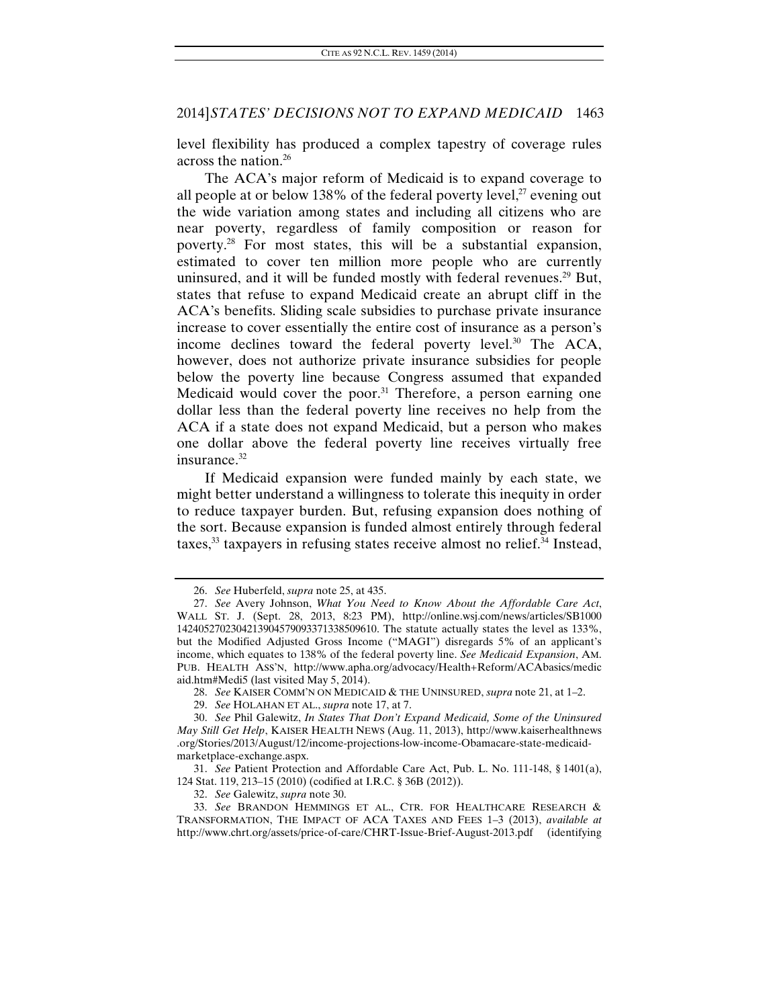level flexibility has produced a complex tapestry of coverage rules across the nation.26

The ACA's major reform of Medicaid is to expand coverage to all people at or below 138% of the federal poverty level, $^{27}$  evening out the wide variation among states and including all citizens who are near poverty, regardless of family composition or reason for poverty.28 For most states, this will be a substantial expansion, estimated to cover ten million more people who are currently uninsured, and it will be funded mostly with federal revenues.<sup>29</sup> But, states that refuse to expand Medicaid create an abrupt cliff in the ACA's benefits. Sliding scale subsidies to purchase private insurance increase to cover essentially the entire cost of insurance as a person's income declines toward the federal poverty level.<sup>30</sup> The ACA, however, does not authorize private insurance subsidies for people below the poverty line because Congress assumed that expanded Medicaid would cover the poor. $31$  Therefore, a person earning one dollar less than the federal poverty line receives no help from the ACA if a state does not expand Medicaid, but a person who makes one dollar above the federal poverty line receives virtually free insurance.<sup>32</sup>

If Medicaid expansion were funded mainly by each state, we might better understand a willingness to tolerate this inequity in order to reduce taxpayer burden. But, refusing expansion does nothing of the sort. Because expansion is funded almost entirely through federal taxes, $33$  taxpayers in refusing states receive almost no relief. $34$  Instead,

<sup>26.</sup> *See* Huberfeld, *supra* note 25, at 435.

<sup>27.</sup> *See* Avery Johnson, *What You Need to Know About the Affordable Care Act*, WALL ST. J. (Sept. 28, 2013, 8:23 PM), http://online.wsj.com/news/articles/SB1000 1424052702304213904579093371338509610. The statute actually states the level as 133%, but the Modified Adjusted Gross Income ("MAGI") disregards 5% of an applicant's income, which equates to 138% of the federal poverty line. *See Medicaid Expansion*, AM. PUB. HEALTH ASS'N, http://www.apha.org/advocacy/Health+Reform/ACAbasics/medic aid.htm#Medi5 (last visited May 5, 2014).

<sup>28.</sup> *See* KAISER COMM'N ON MEDICAID & THE UNINSURED, *supra* note 21, at 1–2.

<sup>29.</sup> *See* HOLAHAN ET AL., *supra* note 17, at 7.

<sup>30.</sup> *See* Phil Galewitz, *In States That Don't Expand Medicaid, Some of the Uninsured May Still Get Help*, KAISER HEALTH NEWS (Aug. 11, 2013), http://www.kaiserhealthnews .org/Stories/2013/August/12/income-projections-low-income-Obamacare-state-medicaidmarketplace-exchange.aspx.

<sup>31.</sup> *See* Patient Protection and Affordable Care Act, Pub. L. No. 111-148, § 1401(a), 124 Stat. 119, 213–15 (2010) (codified at I.R.C. § 36B (2012)).

<sup>32.</sup> *See* Galewitz, *supra* note 30.

 <sup>33.</sup> *See* BRANDON HEMMINGS ET AL., CTR. FOR HEALTHCARE RESEARCH & TRANSFORMATION, THE IMPACT OF ACA TAXES AND FEES 1–3 (2013), *available at* http://www.chrt.org/assets/price-of-care/CHRT-Issue-Brief-August-2013.pdf (identifying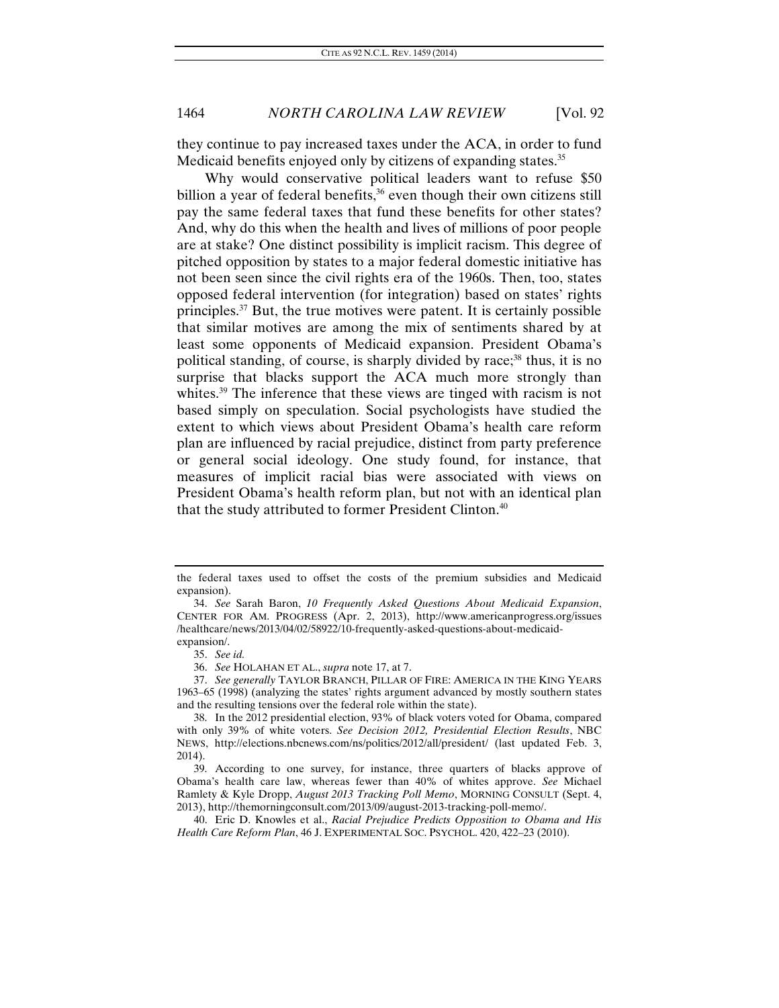they continue to pay increased taxes under the ACA, in order to fund Medicaid benefits enjoyed only by citizens of expanding states.<sup>35</sup>

Why would conservative political leaders want to refuse \$50 billion a year of federal benefits, $36$  even though their own citizens still pay the same federal taxes that fund these benefits for other states? And, why do this when the health and lives of millions of poor people are at stake? One distinct possibility is implicit racism. This degree of pitched opposition by states to a major federal domestic initiative has not been seen since the civil rights era of the 1960s. Then, too, states opposed federal intervention (for integration) based on states' rights principles.37 But, the true motives were patent. It is certainly possible that similar motives are among the mix of sentiments shared by at least some opponents of Medicaid expansion. President Obama's political standing, of course, is sharply divided by race;<sup>38</sup> thus, it is no surprise that blacks support the ACA much more strongly than whites.<sup>39</sup> The inference that these views are tinged with racism is not based simply on speculation. Social psychologists have studied the extent to which views about President Obama's health care reform plan are influenced by racial prejudice, distinct from party preference or general social ideology. One study found, for instance, that measures of implicit racial bias were associated with views on President Obama's health reform plan, but not with an identical plan that the study attributed to former President Clinton.40

the federal taxes used to offset the costs of the premium subsidies and Medicaid expansion).

<sup>34.</sup> *See* Sarah Baron, *10 Frequently Asked Questions About Medicaid Expansion*, CENTER FOR AM. PROGRESS (Apr. 2, 2013), http://www.americanprogress.org/issues /healthcare/news/2013/04/02/58922/10-frequently-asked-questions-about-medicaidexpansion/.

<sup>35.</sup> *See id.*

<sup>36.</sup> *See* HOLAHAN ET AL., *supra* note 17, at 7.

<sup>37.</sup> *See generally* TAYLOR BRANCH, PILLAR OF FIRE: AMERICA IN THE KING YEARS 1963–65 (1998) (analyzing the states' rights argument advanced by mostly southern states and the resulting tensions over the federal role within the state).

 <sup>38.</sup> In the 2012 presidential election, 93% of black voters voted for Obama, compared with only 39% of white voters. *See Decision 2012, Presidential Election Results*, NBC NEWS, http://elections.nbcnews.com/ns/politics/2012/all/president/ (last updated Feb. 3, 2014).

 <sup>39.</sup> According to one survey, for instance, three quarters of blacks approve of Obama's health care law, whereas fewer than 40% of whites approve. *See* Michael Ramlety & Kyle Dropp, *August 2013 Tracking Poll Memo*, MORNING CONSULT (Sept. 4, 2013), http://themorningconsult.com/2013/09/august-2013-tracking-poll-memo/.

 <sup>40.</sup> Eric D. Knowles et al., *Racial Prejudice Predicts Opposition to Obama and His Health Care Reform Plan*, 46 J. EXPERIMENTAL SOC. PSYCHOL. 420, 422–23 (2010).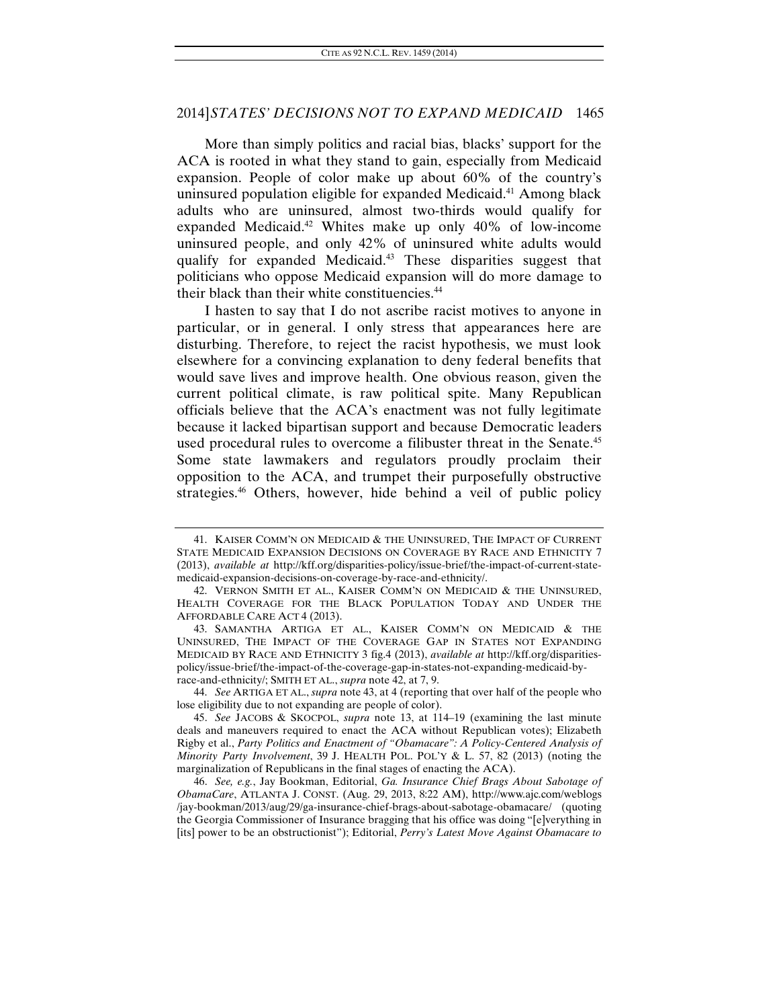More than simply politics and racial bias, blacks' support for the ACA is rooted in what they stand to gain, especially from Medicaid expansion. People of color make up about 60% of the country's uninsured population eligible for expanded Medicaid.<sup>41</sup> Among black adults who are uninsured, almost two-thirds would qualify for expanded Medicaid.<sup>42</sup> Whites make up only  $40\%$  of low-income uninsured people, and only 42% of uninsured white adults would qualify for expanded Medicaid.43 These disparities suggest that politicians who oppose Medicaid expansion will do more damage to their black than their white constituencies.<sup>44</sup>

I hasten to say that I do not ascribe racist motives to anyone in particular, or in general. I only stress that appearances here are disturbing. Therefore, to reject the racist hypothesis, we must look elsewhere for a convincing explanation to deny federal benefits that would save lives and improve health. One obvious reason, given the current political climate, is raw political spite. Many Republican officials believe that the ACA's enactment was not fully legitimate because it lacked bipartisan support and because Democratic leaders used procedural rules to overcome a filibuster threat in the Senate.<sup>45</sup> Some state lawmakers and regulators proudly proclaim their opposition to the ACA, and trumpet their purposefully obstructive strategies.<sup>46</sup> Others, however, hide behind a veil of public policy

 44. *See* ARTIGA ET AL., *supra* note 43, at 4 (reporting that over half of the people who lose eligibility due to not expanding are people of color).

 <sup>41.</sup> KAISER COMM'N ON MEDICAID & THE UNINSURED, THE IMPACT OF CURRENT STATE MEDICAID EXPANSION DECISIONS ON COVERAGE BY RACE AND ETHNICITY 7 (2013), *available at* http://kff.org/disparities-policy/issue-brief/the-impact-of-current-statemedicaid-expansion-decisions-on-coverage-by-race-and-ethnicity/.

 <sup>42.</sup> VERNON SMITH ET AL., KAISER COMM'N ON MEDICAID & THE UNINSURED, HEALTH COVERAGE FOR THE BLACK POPULATION TODAY AND UNDER THE AFFORDABLE CARE ACT 4 (2013).

 <sup>43.</sup> SAMANTHA ARTIGA ET AL., KAISER COMM'N ON MEDICAID & THE UNINSURED, THE IMPACT OF THE COVERAGE GAP IN STATES NOT EXPANDING MEDICAID BY RACE AND ETHNICITY 3 fig.4 (2013), *available at* http://kff.org/disparitiespolicy/issue-brief/the-impact-of-the-coverage-gap-in-states-not-expanding-medicaid-byrace-and-ethnicity/; SMITH ET AL., *supra* note 42, at 7, 9.

<sup>45.</sup> *See* JACOBS & SKOCPOL, *supra* note 13, at 114–19 (examining the last minute deals and maneuvers required to enact the ACA without Republican votes); Elizabeth Rigby et al., *Party Politics and Enactment of "Obamacare": A Policy-Centered Analysis of Minority Party Involvement*, 39 J. HEALTH POL. POL'Y & L. 57, 82 (2013) (noting the marginalization of Republicans in the final stages of enacting the ACA).

<sup>46.</sup> *See, e.g.*, Jay Bookman, Editorial, *Ga. Insurance Chief Brags About Sabotage of ObamaCare*, ATLANTA J. CONST. (Aug. 29, 2013, 8:22 AM), http://www.ajc.com/weblogs /jay-bookman/2013/aug/29/ga-insurance-chief-brags-about-sabotage-obamacare/ (quoting the Georgia Commissioner of Insurance bragging that his office was doing "[e]verything in [its] power to be an obstructionist"); Editorial, *Perry's Latest Move Against Obamacare to*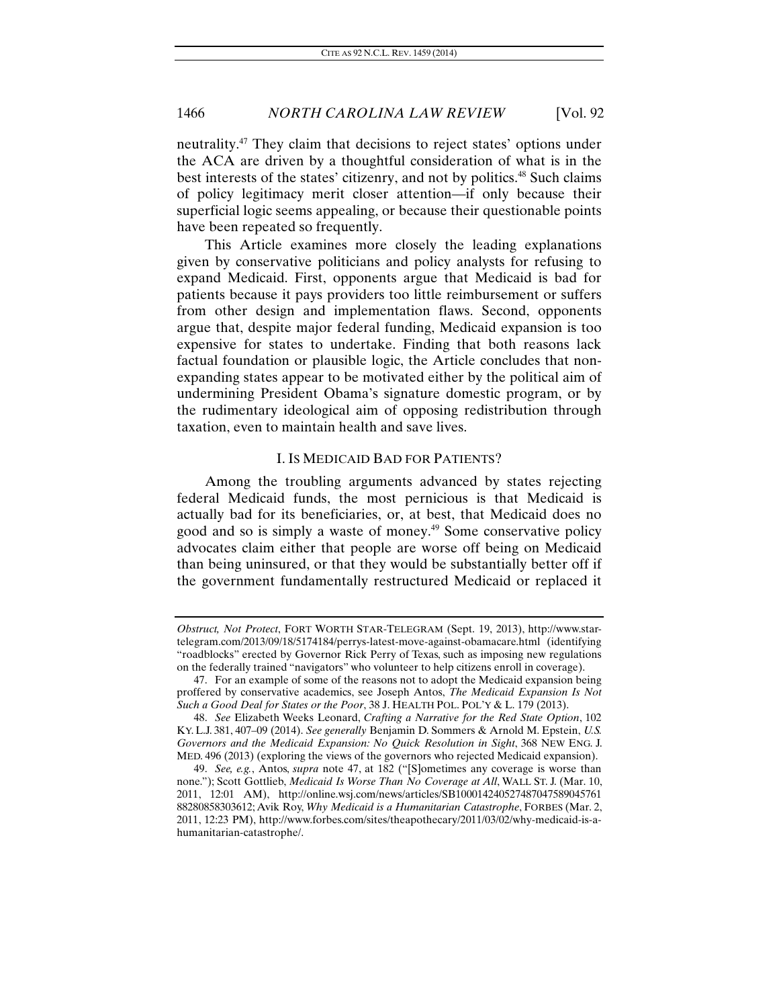neutrality.47 They claim that decisions to reject states' options under the ACA are driven by a thoughtful consideration of what is in the best interests of the states' citizenry, and not by politics.<sup>48</sup> Such claims of policy legitimacy merit closer attention—if only because their superficial logic seems appealing, or because their questionable points have been repeated so frequently.

This Article examines more closely the leading explanations given by conservative politicians and policy analysts for refusing to expand Medicaid. First, opponents argue that Medicaid is bad for patients because it pays providers too little reimbursement or suffers from other design and implementation flaws. Second, opponents argue that, despite major federal funding, Medicaid expansion is too expensive for states to undertake. Finding that both reasons lack factual foundation or plausible logic, the Article concludes that nonexpanding states appear to be motivated either by the political aim of undermining President Obama's signature domestic program, or by the rudimentary ideological aim of opposing redistribution through taxation, even to maintain health and save lives.

#### I. IS MEDICAID BAD FOR PATIENTS?

Among the troubling arguments advanced by states rejecting federal Medicaid funds, the most pernicious is that Medicaid is actually bad for its beneficiaries, or, at best, that Medicaid does no good and so is simply a waste of money.49 Some conservative policy advocates claim either that people are worse off being on Medicaid than being uninsured, or that they would be substantially better off if the government fundamentally restructured Medicaid or replaced it

*Obstruct, Not Protect*, FORT WORTH STAR-TELEGRAM (Sept. 19, 2013), http://www.startelegram.com/2013/09/18/5174184/perrys-latest-move-against-obamacare.html (identifying "roadblocks" erected by Governor Rick Perry of Texas, such as imposing new regulations on the federally trained "navigators" who volunteer to help citizens enroll in coverage).

 <sup>47.</sup> For an example of some of the reasons not to adopt the Medicaid expansion being proffered by conservative academics, see Joseph Antos, *The Medicaid Expansion Is Not Such a Good Deal for States or the Poor*, 38 J. HEALTH POL. POL'Y & L. 179 (2013).

<sup>48.</sup> *See* Elizabeth Weeks Leonard, *Crafting a Narrative for the Red State Option*, 102 KY. L.J. 381, 407–09 (2014). *See generally* Benjamin D. Sommers & Arnold M. Epstein, *U.S. Governors and the Medicaid Expansion: No Quick Resolution in Sight*, 368 NEW ENG. J. MED. 496 (2013) (exploring the views of the governors who rejected Medicaid expansion).

<sup>49.</sup> *See, e.g.*, Antos, *supra* note 47, at 182 ("[S]ometimes any coverage is worse than none."); Scott Gottlieb, *Medicaid Is Worse Than No Coverage at All*, WALL ST. J. (Mar. 10, 2011, 12:01 AM), http://online.wsj.com/news/articles/SB100014240527487047589045761 88280858303612; Avik Roy, *Why Medicaid is a Humanitarian Catastrophe*, FORBES (Mar. 2, 2011, 12:23 PM), http://www.forbes.com/sites/theapothecary/2011/03/02/why-medicaid-is-ahumanitarian-catastrophe/.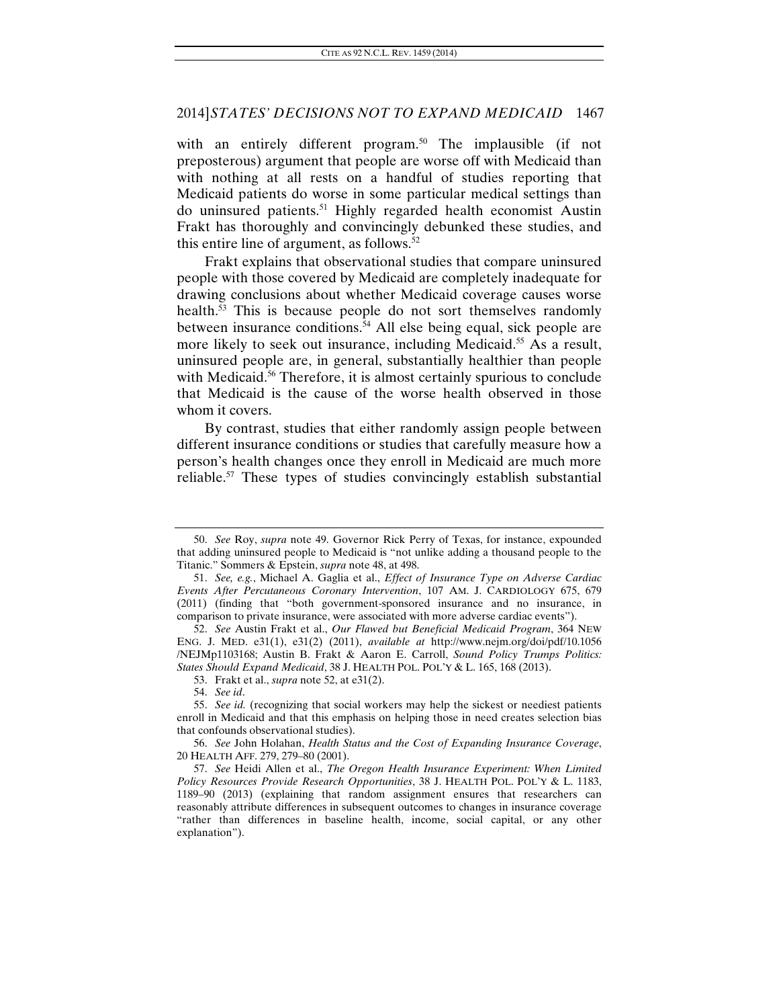with an entirely different program.<sup>50</sup> The implausible (if not preposterous) argument that people are worse off with Medicaid than with nothing at all rests on a handful of studies reporting that Medicaid patients do worse in some particular medical settings than do uninsured patients.<sup>51</sup> Highly regarded health economist Austin Frakt has thoroughly and convincingly debunked these studies, and this entire line of argument, as follows. $52$ 

Frakt explains that observational studies that compare uninsured people with those covered by Medicaid are completely inadequate for drawing conclusions about whether Medicaid coverage causes worse health.<sup>53</sup> This is because people do not sort themselves randomly between insurance conditions.<sup>54</sup> All else being equal, sick people are more likely to seek out insurance, including Medicaid.<sup>55</sup> As a result, uninsured people are, in general, substantially healthier than people with Medicaid.<sup>56</sup> Therefore, it is almost certainly spurious to conclude that Medicaid is the cause of the worse health observed in those whom it covers.

By contrast, studies that either randomly assign people between different insurance conditions or studies that carefully measure how a person's health changes once they enroll in Medicaid are much more reliable.57 These types of studies convincingly establish substantial

54. *See id*.

55. *See id.* (recognizing that social workers may help the sickest or neediest patients enroll in Medicaid and that this emphasis on helping those in need creates selection bias that confounds observational studies).

56. *See* John Holahan, *Health Status and the Cost of Expanding Insurance Coverage*, 20 HEALTH AFF. 279, 279–80 (2001).

<sup>50.</sup> *See* Roy, *supra* note 49. Governor Rick Perry of Texas, for instance, expounded that adding uninsured people to Medicaid is "not unlike adding a thousand people to the Titanic." Sommers & Epstein, *supra* note 48, at 498.

<sup>51.</sup> *See, e.g.*, Michael A. Gaglia et al., *Effect of Insurance Type on Adverse Cardiac Events After Percutaneous Coronary Intervention*, 107 AM. J. CARDIOLOGY 675, 679 (2011) (finding that "both government-sponsored insurance and no insurance, in comparison to private insurance, were associated with more adverse cardiac events").

<sup>52.</sup> *See* Austin Frakt et al., *Our Flawed but Beneficial Medicaid Program*, 364 NEW ENG. J. MED. e31(1), e31(2) (2011), *available at* http://www.nejm.org/doi/pdf/10.1056 /NEJMp1103168; Austin B. Frakt & Aaron E. Carroll, *Sound Policy Trumps Politics: States Should Expand Medicaid*, 38 J. HEALTH POL. POL'Y & L. 165, 168 (2013).

 <sup>53.</sup> Frakt et al., *supra* note 52, at e31(2).

<sup>57.</sup> *See* Heidi Allen et al., *The Oregon Health Insurance Experiment: When Limited Policy Resources Provide Research Opportunities*, 38 J. HEALTH POL. POL'Y & L. 1183, 1189–90 (2013) (explaining that random assignment ensures that researchers can reasonably attribute differences in subsequent outcomes to changes in insurance coverage "rather than differences in baseline health, income, social capital, or any other explanation").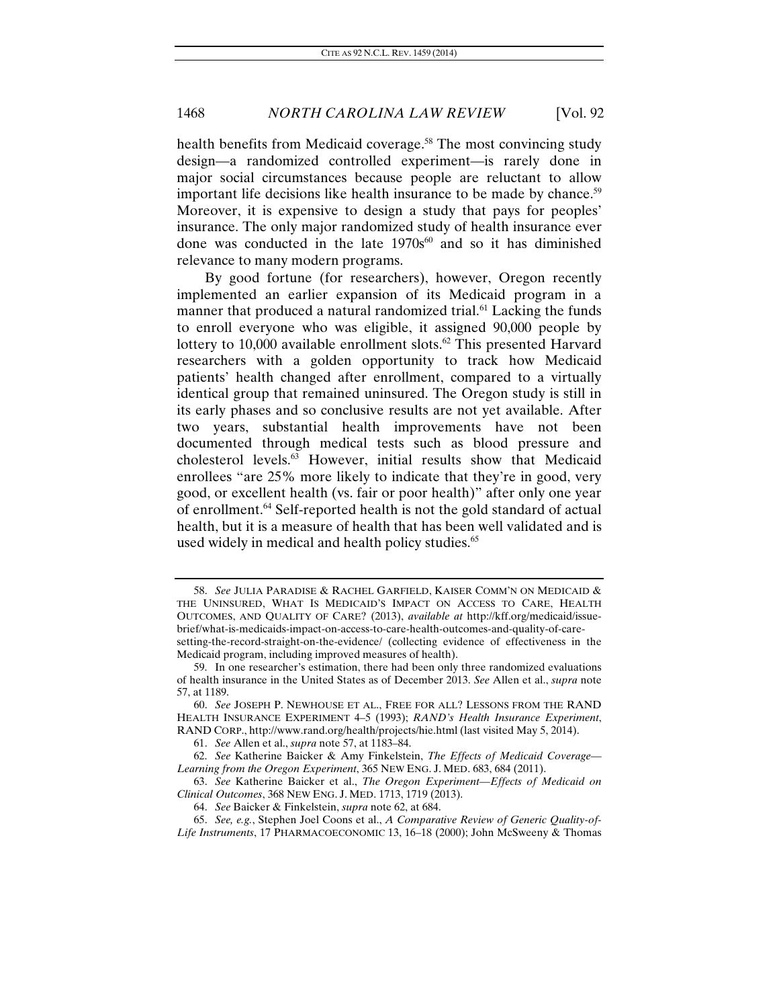health benefits from Medicaid coverage.<sup>58</sup> The most convincing study design—a randomized controlled experiment—is rarely done in major social circumstances because people are reluctant to allow important life decisions like health insurance to be made by chance.<sup>59</sup> Moreover, it is expensive to design a study that pays for peoples' insurance. The only major randomized study of health insurance ever done was conducted in the late  $1970s^{60}$  and so it has diminished relevance to many modern programs.

By good fortune (for researchers), however, Oregon recently implemented an earlier expansion of its Medicaid program in a manner that produced a natural randomized trial.<sup>61</sup> Lacking the funds to enroll everyone who was eligible, it assigned 90,000 people by lottery to 10,000 available enrollment slots.<sup>62</sup> This presented Harvard researchers with a golden opportunity to track how Medicaid patients' health changed after enrollment, compared to a virtually identical group that remained uninsured. The Oregon study is still in its early phases and so conclusive results are not yet available. After two years, substantial health improvements have not been documented through medical tests such as blood pressure and cholesterol levels.63 However, initial results show that Medicaid enrollees "are 25% more likely to indicate that they're in good, very good, or excellent health (vs. fair or poor health)" after only one year of enrollment.64 Self-reported health is not the gold standard of actual health, but it is a measure of health that has been well validated and is used widely in medical and health policy studies.<sup>65</sup>

61. *See* Allen et al., *supra* note 57, at 1183–84.

<sup>58.</sup> *See* JULIA PARADISE & RACHEL GARFIELD, KAISER COMM'N ON MEDICAID & THE UNINSURED, WHAT IS MEDICAID'S IMPACT ON ACCESS TO CARE, HEALTH OUTCOMES, AND QUALITY OF CARE? (2013), *available at* http://kff.org/medicaid/issuebrief/what-is-medicaids-impact-on-access-to-care-health-outcomes-and-quality-of-caresetting-the-record-straight-on-the-evidence/ (collecting evidence of effectiveness in the Medicaid program, including improved measures of health).

 <sup>59.</sup> In one researcher's estimation, there had been only three randomized evaluations of health insurance in the United States as of December 2013. *See* Allen et al., *supra* note 57, at 1189.

<sup>60.</sup> *See* JOSEPH P. NEWHOUSE ET AL., FREE FOR ALL? LESSONS FROM THE RAND HEALTH INSURANCE EXPERIMENT 4–5 (1993); *RAND's Health Insurance Experiment*, RAND CORP., http://www.rand.org/health/projects/hie.html (last visited May 5, 2014).

 <sup>62.</sup> *See* Katherine Baicker & Amy Finkelstein, *The Effects of Medicaid Coverage— Learning from the Oregon Experiment*, 365 NEW ENG. J. MED. 683, 684 (2011).

<sup>63.</sup> *See* Katherine Baicker et al., *The Oregon Experiment—Effects of Medicaid on Clinical Outcomes*, 368 NEW ENG. J. MED. 1713, 1719 (2013).

<sup>64.</sup> *See* Baicker & Finkelstein, *supra* note 62, at 684.

<sup>65.</sup> *See, e.g.*, Stephen Joel Coons et al., *A Comparative Review of Generic Quality-of-Life Instruments*, 17 PHARMACOECONOMIC 13, 16–18 (2000); John McSweeny & Thomas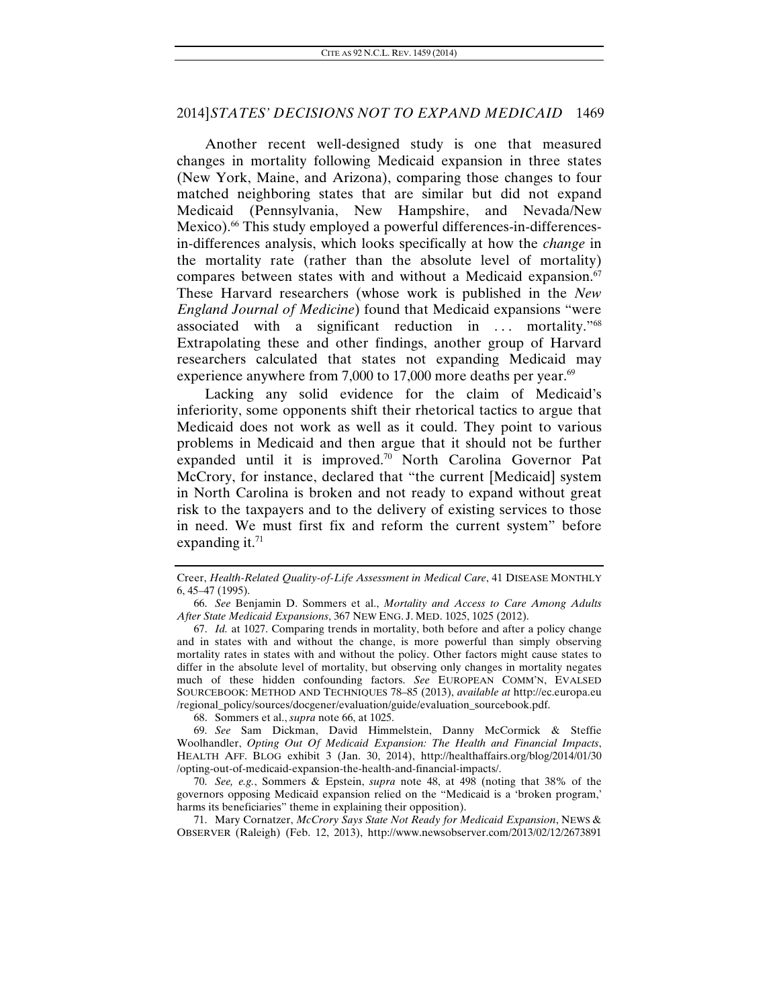Another recent well-designed study is one that measured changes in mortality following Medicaid expansion in three states (New York, Maine, and Arizona), comparing those changes to four matched neighboring states that are similar but did not expand Medicaid (Pennsylvania, New Hampshire, and Nevada/New Mexico).<sup>66</sup> This study employed a powerful differences-in-differencesin-differences analysis, which looks specifically at how the *change* in the mortality rate (rather than the absolute level of mortality) compares between states with and without a Medicaid expansion. $67$ These Harvard researchers (whose work is published in the *New England Journal of Medicine*) found that Medicaid expansions "were associated with a significant reduction in  $\ldots$  mortality.<sup>768</sup> Extrapolating these and other findings, another group of Harvard researchers calculated that states not expanding Medicaid may experience anywhere from 7,000 to 17,000 more deaths per year. $69$ 

Lacking any solid evidence for the claim of Medicaid's inferiority, some opponents shift their rhetorical tactics to argue that Medicaid does not work as well as it could. They point to various problems in Medicaid and then argue that it should not be further expanded until it is improved.<sup>70</sup> North Carolina Governor Pat McCrory, for instance, declared that "the current [Medicaid] system in North Carolina is broken and not ready to expand without great risk to the taxpayers and to the delivery of existing services to those in need. We must first fix and reform the current system" before expanding it. $71$ 

68. Sommers et al., *supra* note 66, at 1025.

 69. *See* Sam Dickman, David Himmelstein, Danny McCormick & Steffie Woolhandler, *Opting Out Of Medicaid Expansion: The Health and Financial Impacts*, HEALTH AFF. BLOG exhibit 3 (Jan. 30, 2014), http://healthaffairs.org/blog/2014/01/30 /opting-out-of-medicaid-expansion-the-health-and-financial-impacts/.

 70. *See, e.g.*, Sommers & Epstein, *supra* note 48, at 498 (noting that 38% of the governors opposing Medicaid expansion relied on the "Medicaid is a 'broken program,' harms its beneficiaries" theme in explaining their opposition).

 71. Mary Cornatzer, *McCrory Says State Not Ready for Medicaid Expansion*, NEWS & OBSERVER (Raleigh) (Feb. 12, 2013), http://www.newsobserver.com/2013/02/12/2673891

Creer, *Health-Related Quality-of-Life Assessment in Medical Care*, 41 DISEASE MONTHLY 6, 45–47 (1995).

 <sup>66.</sup> *See* Benjamin D. Sommers et al., *Mortality and Access to Care Among Adults After State Medicaid Expansions*, 367 NEW ENG. J. MED. 1025, 1025 (2012).

<sup>67.</sup> *Id.* at 1027. Comparing trends in mortality, both before and after a policy change and in states with and without the change, is more powerful than simply observing mortality rates in states with and without the policy. Other factors might cause states to differ in the absolute level of mortality, but observing only changes in mortality negates much of these hidden confounding factors. *See* EUROPEAN COMM'N, EVALSED SOURCEBOOK: METHOD AND TECHNIQUES 78–85 (2013), *available at* http://ec.europa.eu /regional\_policy/sources/docgener/evaluation/guide/evaluation\_sourcebook.pdf.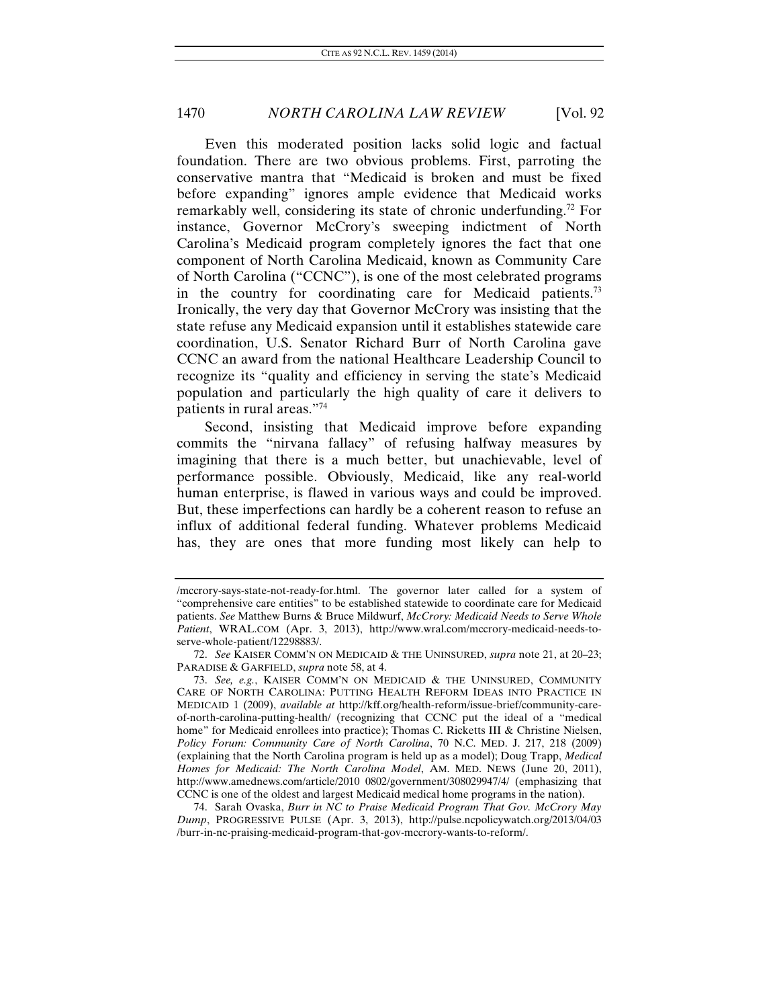Even this moderated position lacks solid logic and factual foundation. There are two obvious problems. First, parroting the conservative mantra that "Medicaid is broken and must be fixed before expanding" ignores ample evidence that Medicaid works remarkably well, considering its state of chronic underfunding.<sup>72</sup> For instance, Governor McCrory's sweeping indictment of North Carolina's Medicaid program completely ignores the fact that one component of North Carolina Medicaid, known as Community Care of North Carolina ("CCNC"), is one of the most celebrated programs in the country for coordinating care for Medicaid patients.<sup>73</sup> Ironically, the very day that Governor McCrory was insisting that the state refuse any Medicaid expansion until it establishes statewide care coordination, U.S. Senator Richard Burr of North Carolina gave CCNC an award from the national Healthcare Leadership Council to recognize its "quality and efficiency in serving the state's Medicaid population and particularly the high quality of care it delivers to patients in rural areas."74

Second, insisting that Medicaid improve before expanding commits the "nirvana fallacy" of refusing halfway measures by imagining that there is a much better, but unachievable, level of performance possible. Obviously, Medicaid, like any real-world human enterprise, is flawed in various ways and could be improved. But, these imperfections can hardly be a coherent reason to refuse an influx of additional federal funding. Whatever problems Medicaid has, they are ones that more funding most likely can help to

 74. Sarah Ovaska, *Burr in NC to Praise Medicaid Program That Gov. McCrory May Dump*, PROGRESSIVE PULSE (Apr. 3, 2013), http://pulse.ncpolicywatch.org/2013/04/03 /burr-in-nc-praising-medicaid-program-that-gov-mccrory-wants-to-reform/.

<sup>/</sup>mccrory-says-state-not-ready-for.html. The governor later called for a system of "comprehensive care entities" to be established statewide to coordinate care for Medicaid patients. *See* Matthew Burns & Bruce Mildwurf, *McCrory: Medicaid Needs to Serve Whole Patient*, WRAL.COM (Apr. 3, 2013), http://www.wral.com/mccrory-medicaid-needs-toserve-whole-patient/12298883/.

<sup>72.</sup> *See* KAISER COMM'N ON MEDICAID & THE UNINSURED, *supra* note 21, at 20–23; PARADISE & GARFIELD, *supra* note 58, at 4.

<sup>73.</sup> *See, e.g.*, KAISER COMM'N ON MEDICAID & THE UNINSURED, COMMUNITY CARE OF NORTH CAROLINA: PUTTING HEALTH REFORM IDEAS INTO PRACTICE IN MEDICAID 1 (2009), *available at* http://kff.org/health-reform/issue-brief/community-careof-north-carolina-putting-health/ (recognizing that CCNC put the ideal of a "medical home" for Medicaid enrollees into practice); Thomas C. Ricketts III & Christine Nielsen, *Policy Forum: Community Care of North Carolina*, 70 N.C. MED. J. 217, 218 (2009) (explaining that the North Carolina program is held up as a model); Doug Trapp, *Medical Homes for Medicaid: The North Carolina Model*, AM. MED. NEWS (June 20, 2011), http://www.amednews.com/article/2010 0802/government/308029947/4/ (emphasizing that CCNC is one of the oldest and largest Medicaid medical home programs in the nation).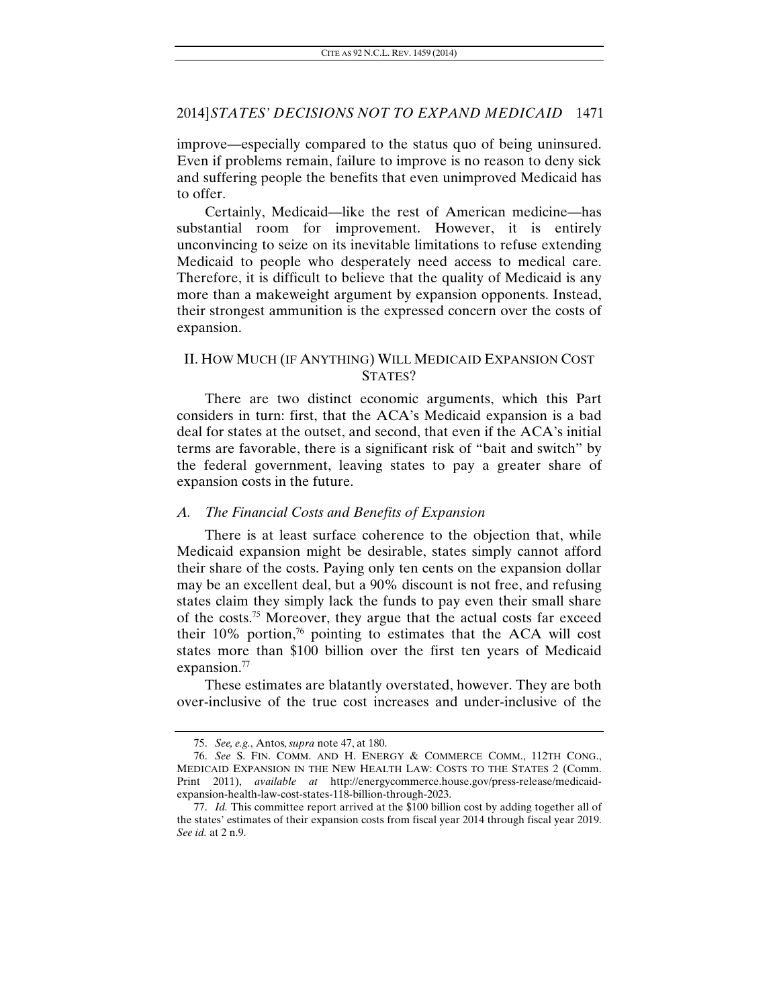improve—especially compared to the status quo of being uninsured. Even if problems remain, failure to improve is no reason to deny sick and suffering people the benefits that even unimproved Medicaid has to offer.

Certainly, Medicaid—like the rest of American medicine—has substantial room for improvement. However, it is entirely unconvincing to seize on its inevitable limitations to refuse extending Medicaid to people who desperately need access to medical care. Therefore, it is difficult to believe that the quality of Medicaid is any more than a makeweight argument by expansion opponents. Instead, their strongest ammunition is the expressed concern over the costs of expansion.

# II. HOW MUCH (IF ANYTHING) WILL MEDICAID EXPANSION COST STATES?

There are two distinct economic arguments, which this Part considers in turn: first, that the ACA's Medicaid expansion is a bad deal for states at the outset, and second, that even if the ACA's initial terms are favorable, there is a significant risk of "bait and switch" by the federal government, leaving states to pay a greater share of expansion costs in the future.

### *A. The Financial Costs and Benefits of Expansion*

There is at least surface coherence to the objection that, while Medicaid expansion might be desirable, states simply cannot afford their share of the costs. Paying only ten cents on the expansion dollar may be an excellent deal, but a 90% discount is not free, and refusing states claim they simply lack the funds to pay even their small share of the costs.75 Moreover, they argue that the actual costs far exceed their 10% portion, $\frac{76}{6}$  pointing to estimates that the ACA will cost states more than \$100 billion over the first ten years of Medicaid expansion.<sup>77</sup>

These estimates are blatantly overstated, however. They are both over-inclusive of the true cost increases and under-inclusive of the

<sup>75.</sup> *See, e.g.*, Antos, *supra* note 47, at 180.

<sup>76.</sup> *See* S. FIN. COMM. AND H. ENERGY & COMMERCE COMM., 112TH CONG., MEDICAID EXPANSION IN THE NEW HEALTH LAW: COSTS TO THE STATES 2 (Comm. Print 2011), *available at* http://energycommerce.house.gov/press-release/medicaidexpansion-health-law-cost-states-118-billion-through-2023.

<sup>77.</sup> *Id.* This committee report arrived at the \$100 billion cost by adding together all of the states' estimates of their expansion costs from fiscal year 2014 through fiscal year 2019. *See id.* at 2 n.9.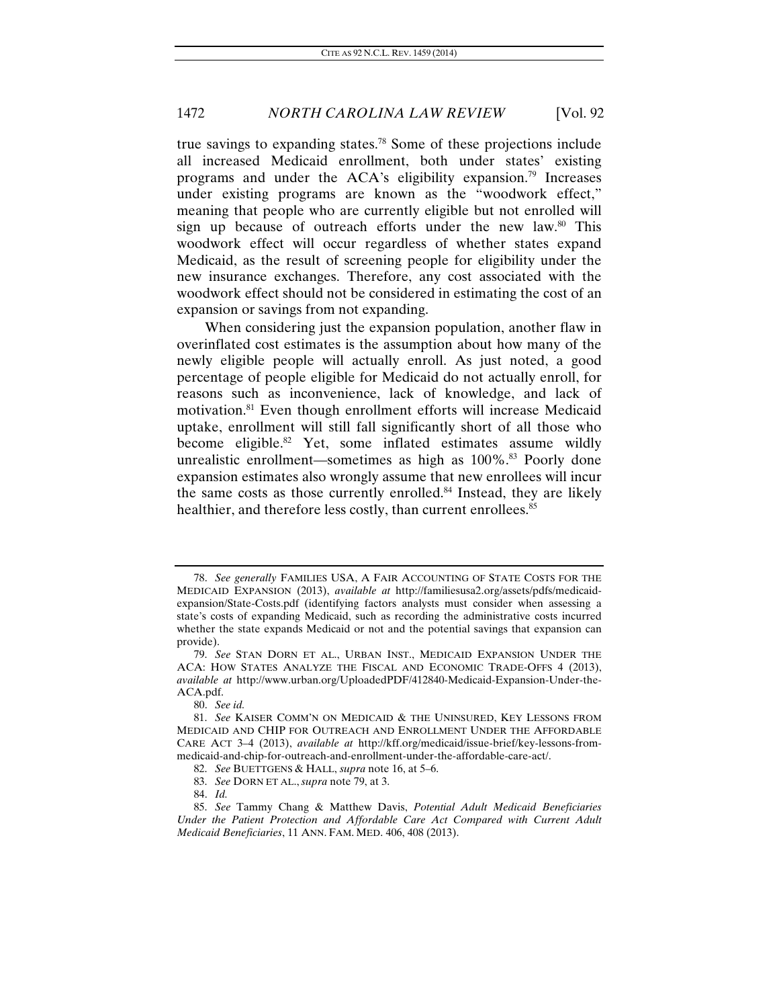true savings to expanding states.78 Some of these projections include all increased Medicaid enrollment, both under states' existing programs and under the ACA's eligibility expansion.79 Increases under existing programs are known as the "woodwork effect," meaning that people who are currently eligible but not enrolled will sign up because of outreach efforts under the new law. $80$  This woodwork effect will occur regardless of whether states expand Medicaid, as the result of screening people for eligibility under the new insurance exchanges. Therefore, any cost associated with the woodwork effect should not be considered in estimating the cost of an expansion or savings from not expanding.

When considering just the expansion population, another flaw in overinflated cost estimates is the assumption about how many of the newly eligible people will actually enroll. As just noted, a good percentage of people eligible for Medicaid do not actually enroll, for reasons such as inconvenience, lack of knowledge, and lack of motivation.81 Even though enrollment efforts will increase Medicaid uptake, enrollment will still fall significantly short of all those who become eligible.<sup>82</sup> Yet, some inflated estimates assume wildly unrealistic enrollment—sometimes as high as 100%.<sup>83</sup> Poorly done expansion estimates also wrongly assume that new enrollees will incur the same costs as those currently enrolled.<sup>84</sup> Instead, they are likely healthier, and therefore less costly, than current enrollees.<sup>85</sup>

<sup>78.</sup> *See generally* FAMILIES USA, A FAIR ACCOUNTING OF STATE COSTS FOR THE MEDICAID EXPANSION (2013), *available at* http://familiesusa2.org/assets/pdfs/medicaidexpansion/State-Costs.pdf (identifying factors analysts must consider when assessing a state's costs of expanding Medicaid, such as recording the administrative costs incurred whether the state expands Medicaid or not and the potential savings that expansion can provide).

 <sup>79.</sup> *See* STAN DORN ET AL., URBAN INST., MEDICAID EXPANSION UNDER THE ACA: HOW STATES ANALYZE THE FISCAL AND ECONOMIC TRADE-OFFS 4 (2013), *available at* http://www.urban.org/UploadedPDF/412840-Medicaid-Expansion-Under-the-ACA.pdf.

<sup>80.</sup> *See id.*

 <sup>81.</sup> *See* KAISER COMM'N ON MEDICAID & THE UNINSURED, KEY LESSONS FROM MEDICAID AND CHIP FOR OUTREACH AND ENROLLMENT UNDER THE AFFORDABLE CARE ACT 3–4 (2013), *available at* http://kff.org/medicaid/issue-brief/key-lessons-frommedicaid-and-chip-for-outreach-and-enrollment-under-the-affordable-care-act/.

 <sup>82.</sup> *See* BUETTGENS & HALL, *supra* note 16, at 5–6. 83. *See* DORN ET AL., *supra* note 79, at 3.

<sup>84.</sup> *Id.*

 <sup>85.</sup> *See* Tammy Chang & Matthew Davis, *Potential Adult Medicaid Beneficiaries Under the Patient Protection and Affordable Care Act Compared with Current Adult Medicaid Beneficiaries*, 11 ANN. FAM. MED. 406, 408 (2013).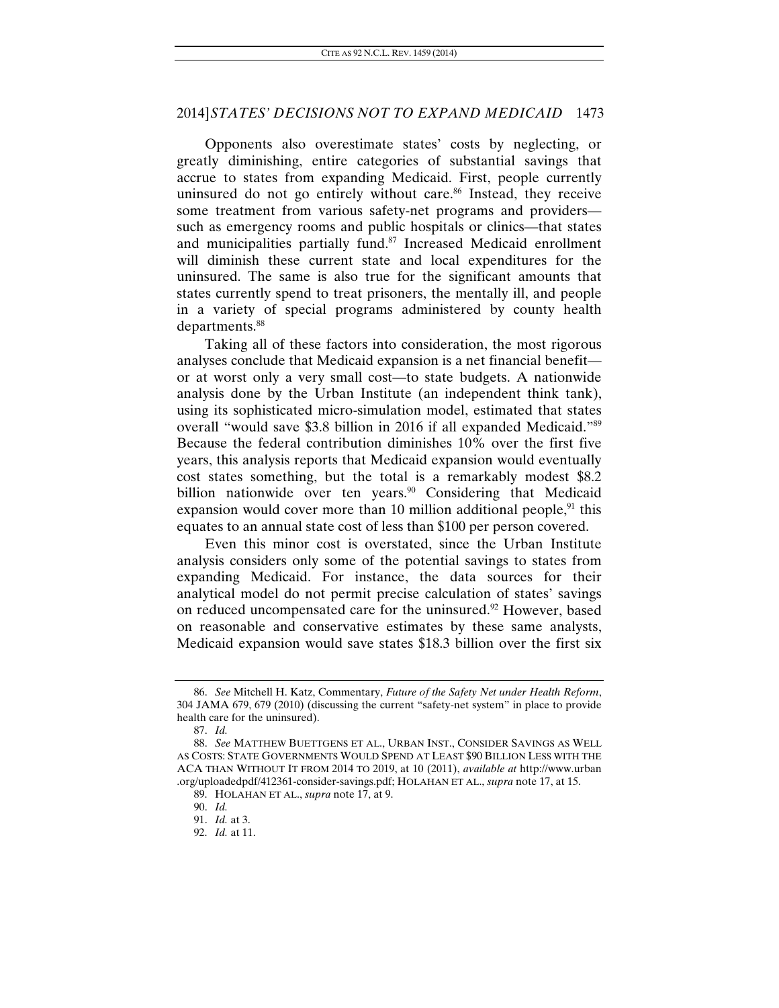Opponents also overestimate states' costs by neglecting, or greatly diminishing, entire categories of substantial savings that accrue to states from expanding Medicaid. First, people currently uninsured do not go entirely without care.<sup>86</sup> Instead, they receive some treatment from various safety-net programs and providers such as emergency rooms and public hospitals or clinics—that states and municipalities partially fund.<sup>87</sup> Increased Medicaid enrollment will diminish these current state and local expenditures for the uninsured. The same is also true for the significant amounts that states currently spend to treat prisoners, the mentally ill, and people in a variety of special programs administered by county health departments.<sup>88</sup>

Taking all of these factors into consideration, the most rigorous analyses conclude that Medicaid expansion is a net financial benefit or at worst only a very small cost—to state budgets. A nationwide analysis done by the Urban Institute (an independent think tank), using its sophisticated micro-simulation model, estimated that states overall "would save \$3.8 billion in 2016 if all expanded Medicaid."89 Because the federal contribution diminishes 10% over the first five years, this analysis reports that Medicaid expansion would eventually cost states something, but the total is a remarkably modest \$8.2 billion nationwide over ten years.<sup>90</sup> Considering that Medicaid expansion would cover more than 10 million additional people, $91$  this equates to an annual state cost of less than \$100 per person covered.

Even this minor cost is overstated, since the Urban Institute analysis considers only some of the potential savings to states from expanding Medicaid. For instance, the data sources for their analytical model do not permit precise calculation of states' savings on reduced uncompensated care for the uninsured.<sup>92</sup> However, based on reasonable and conservative estimates by these same analysts, Medicaid expansion would save states \$18.3 billion over the first six

<sup>86.</sup> *See* Mitchell H. Katz, Commentary, *Future of the Safety Net under Health Reform*, 304 JAMA 679, 679 (2010) (discussing the current "safety-net system" in place to provide health care for the uninsured).

<sup>87.</sup> *Id.*

<sup>88.</sup> *See* MATTHEW BUETTGENS ET AL., URBAN INST., CONSIDER SAVINGS AS WELL AS COSTS: STATE GOVERNMENTS WOULD SPEND AT LEAST \$90 BILLION LESS WITH THE ACA THAN WITHOUT IT FROM 2014 TO 2019, at 10 (2011), *available at* http://www.urban .org/uploadedpdf/412361-consider-savings.pdf; HOLAHAN ET AL., *supra* note 17, at 15.

 <sup>89.</sup> HOLAHAN ET AL., *supra* note 17, at 9.

<sup>90.</sup> *Id.*

<sup>91.</sup> *Id.* at 3.

 <sup>92.</sup> *Id.* at 11.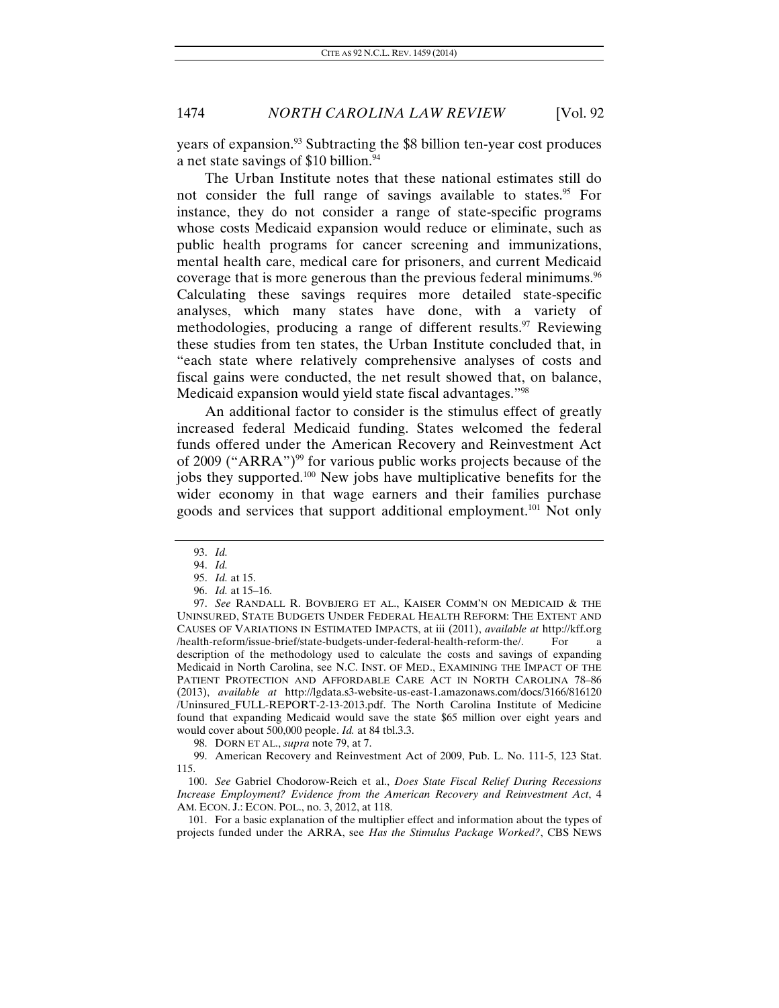years of expansion.93 Subtracting the \$8 billion ten-year cost produces a net state savings of \$10 billion.<sup>94</sup>

The Urban Institute notes that these national estimates still do not consider the full range of savings available to states.<sup>95</sup> For instance, they do not consider a range of state-specific programs whose costs Medicaid expansion would reduce or eliminate, such as public health programs for cancer screening and immunizations, mental health care, medical care for prisoners, and current Medicaid coverage that is more generous than the previous federal minimums.96 Calculating these savings requires more detailed state-specific analyses, which many states have done, with a variety of methodologies, producing a range of different results.<sup>97</sup> Reviewing these studies from ten states, the Urban Institute concluded that, in "each state where relatively comprehensive analyses of costs and fiscal gains were conducted, the net result showed that, on balance, Medicaid expansion would yield state fiscal advantages."98

An additional factor to consider is the stimulus effect of greatly increased federal Medicaid funding. States welcomed the federal funds offered under the American Recovery and Reinvestment Act of 2009 ("ARRA")99 for various public works projects because of the jobs they supported.100 New jobs have multiplicative benefits for the wider economy in that wage earners and their families purchase goods and services that support additional employment.101 Not only

98. DORN ET AL., *supra* note 79, at 7.

 99. American Recovery and Reinvestment Act of 2009, Pub. L. No. 111-5, 123 Stat. 115.

100. *See* Gabriel Chodorow-Reich et al., *Does State Fiscal Relief During Recessions Increase Employment? Evidence from the American Recovery and Reinvestment Act*, 4 AM. ECON. J.: ECON. POL., no. 3, 2012, at 118.

 101. For a basic explanation of the multiplier effect and information about the types of projects funded under the ARRA, see *Has the Stimulus Package Worked?*, CBS NEWS

<sup>93.</sup> *Id.*

<sup>94.</sup> *Id.*

<sup>95.</sup> *Id.* at 15.

<sup>96.</sup> *Id.* at 15–16.

<sup>97.</sup> *See* RANDALL R. BOVBJERG ET AL., KAISER COMM'N ON MEDICAID & THE UNINSURED, STATE BUDGETS UNDER FEDERAL HEALTH REFORM: THE EXTENT AND CAUSES OF VARIATIONS IN ESTIMATED IMPACTS, at iii (2011), *available at* http://kff.org /health-reform/issue-brief/state-budgets-under-federal-health-reform-the/. For a description of the methodology used to calculate the costs and savings of expanding Medicaid in North Carolina, see N.C. INST. OF MED., EXAMINING THE IMPACT OF THE PATIENT PROTECTION AND AFFORDABLE CARE ACT IN NORTH CAROLINA 78–86 (2013), *available at* http://lgdata.s3-website-us-east-1.amazonaws.com/docs/3166/816120 /Uninsured\_FULL-REPORT-2-13-2013.pdf. The North Carolina Institute of Medicine found that expanding Medicaid would save the state \$65 million over eight years and would cover about 500,000 people. *Id.* at 84 tbl.3.3.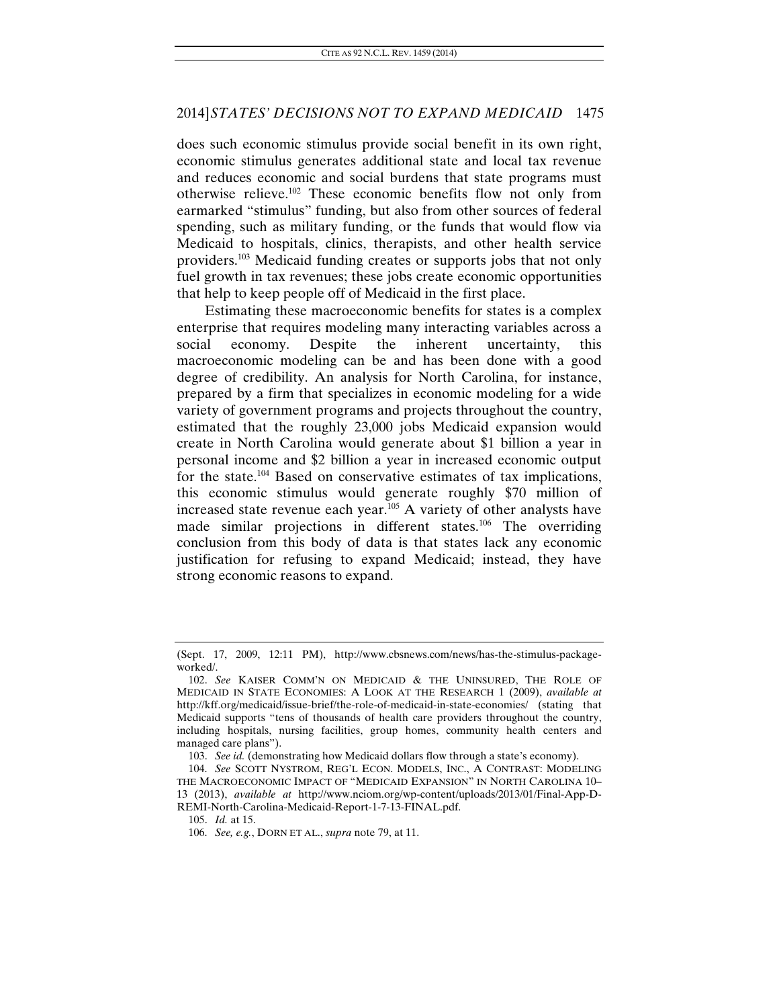does such economic stimulus provide social benefit in its own right, economic stimulus generates additional state and local tax revenue and reduces economic and social burdens that state programs must otherwise relieve.102 These economic benefits flow not only from earmarked "stimulus" funding, but also from other sources of federal spending, such as military funding, or the funds that would flow via Medicaid to hospitals, clinics, therapists, and other health service providers.103 Medicaid funding creates or supports jobs that not only fuel growth in tax revenues; these jobs create economic opportunities that help to keep people off of Medicaid in the first place.

Estimating these macroeconomic benefits for states is a complex enterprise that requires modeling many interacting variables across a social economy. Despite the inherent uncertainty, this macroeconomic modeling can be and has been done with a good degree of credibility. An analysis for North Carolina, for instance, prepared by a firm that specializes in economic modeling for a wide variety of government programs and projects throughout the country, estimated that the roughly 23,000 jobs Medicaid expansion would create in North Carolina would generate about \$1 billion a year in personal income and \$2 billion a year in increased economic output for the state.104 Based on conservative estimates of tax implications, this economic stimulus would generate roughly \$70 million of increased state revenue each year. $105$  A variety of other analysts have made similar projections in different states.<sup>106</sup> The overriding conclusion from this body of data is that states lack any economic justification for refusing to expand Medicaid; instead, they have strong economic reasons to expand.

<sup>(</sup>Sept. 17, 2009, 12:11 PM), http://www.cbsnews.com/news/has-the-stimulus-packageworked/.

<sup>102.</sup> *See* KAISER COMM'N ON MEDICAID & THE UNINSURED, THE ROLE OF MEDICAID IN STATE ECONOMIES: A LOOK AT THE RESEARCH 1 (2009), *available at*  http://kff.org/medicaid/issue-brief/the-role-of-medicaid-in-state-economies/ (stating that Medicaid supports "tens of thousands of health care providers throughout the country, including hospitals, nursing facilities, group homes, community health centers and managed care plans").

<sup>103.</sup> *See id.* (demonstrating how Medicaid dollars flow through a state's economy).

 <sup>104.</sup> *See* SCOTT NYSTROM, REG'L ECON. MODELS, INC., A CONTRAST: MODELING THE MACROECONOMIC IMPACT OF "MEDICAID EXPANSION" IN NORTH CAROLINA 10– 13 (2013), *available at* http://www.nciom.org/wp-content/uploads/2013/01/Final-App-D-REMI-North-Carolina-Medicaid-Report-1-7-13-FINAL.pdf.

<sup>105.</sup> *Id.* at 15.

 <sup>106.</sup> *See, e.g.*, DORN ET AL., *supra* note 79, at 11.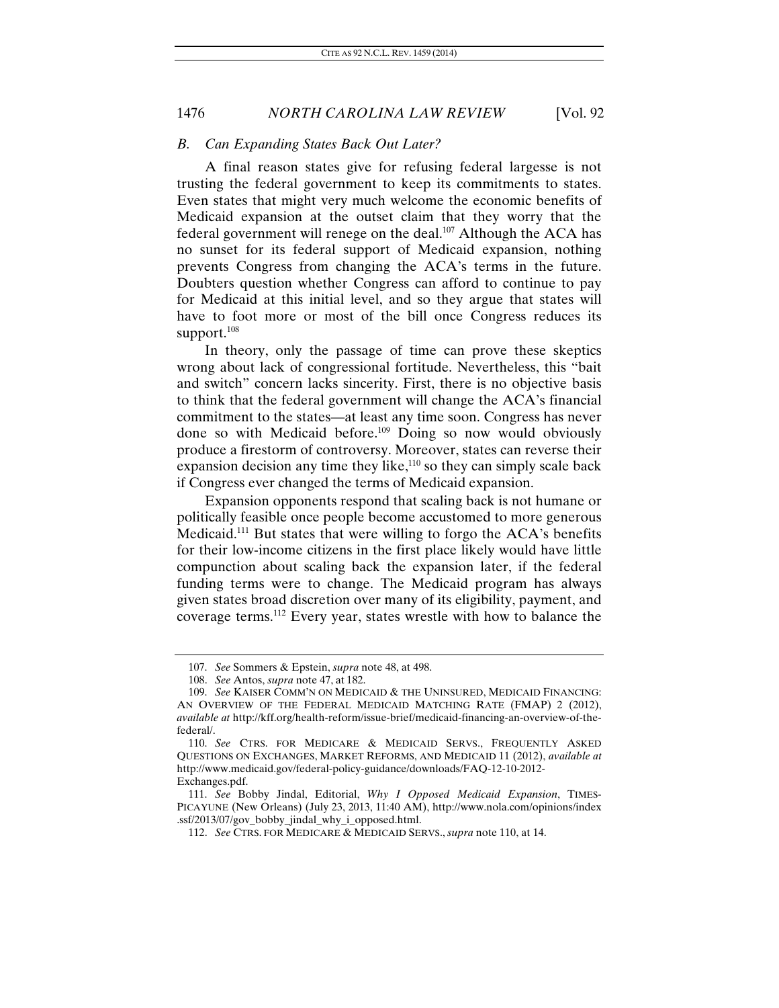#### *B. Can Expanding States Back Out Later?*

A final reason states give for refusing federal largesse is not trusting the federal government to keep its commitments to states. Even states that might very much welcome the economic benefits of Medicaid expansion at the outset claim that they worry that the federal government will renege on the deal.<sup>107</sup> Although the ACA has no sunset for its federal support of Medicaid expansion, nothing prevents Congress from changing the ACA's terms in the future. Doubters question whether Congress can afford to continue to pay for Medicaid at this initial level, and so they argue that states will have to foot more or most of the bill once Congress reduces its support. $108$ 

In theory, only the passage of time can prove these skeptics wrong about lack of congressional fortitude. Nevertheless, this "bait and switch" concern lacks sincerity. First, there is no objective basis to think that the federal government will change the ACA's financial commitment to the states—at least any time soon. Congress has never done so with Medicaid before.109 Doing so now would obviously produce a firestorm of controversy. Moreover, states can reverse their expansion decision any time they like, $110$  so they can simply scale back if Congress ever changed the terms of Medicaid expansion.

Expansion opponents respond that scaling back is not humane or politically feasible once people become accustomed to more generous Medicaid.111 But states that were willing to forgo the ACA's benefits for their low-income citizens in the first place likely would have little compunction about scaling back the expansion later, if the federal funding terms were to change. The Medicaid program has always given states broad discretion over many of its eligibility, payment, and coverage terms.112 Every year, states wrestle with how to balance the

 <sup>107.</sup> *See* Sommers & Epstein, *supra* note 48, at 498.

<sup>108.</sup> *See* Antos, *supra* note 47, at 182.

 <sup>109.</sup> *See* KAISER COMM'N ON MEDICAID & THE UNINSURED, MEDICAID FINANCING: AN OVERVIEW OF THE FEDERAL MEDICAID MATCHING RATE (FMAP) 2 (2012), *available at* http://kff.org/health-reform/issue-brief/medicaid-financing-an-overview-of-thefederal/.

 <sup>110.</sup> *See* CTRS. FOR MEDICARE & MEDICAID SERVS., FREQUENTLY ASKED QUESTIONS ON EXCHANGES, MARKET REFORMS, AND MEDICAID 11 (2012), *available at*  http://www.medicaid.gov/federal-policy-guidance/downloads/FAQ-12-10-2012- Exchanges.pdf.

 <sup>111.</sup> *See* Bobby Jindal, Editorial, *Why I Opposed Medicaid Expansion*, TIMES-PICAYUNE (New Orleans) (July 23, 2013, 11:40 AM), http://www.nola.com/opinions/index .ssf/2013/07/gov\_bobby\_jindal\_why\_i\_opposed.html.

<sup>112.</sup> *See* CTRS. FOR MEDICARE & MEDICAID SERVS., *supra* note 110, at 14.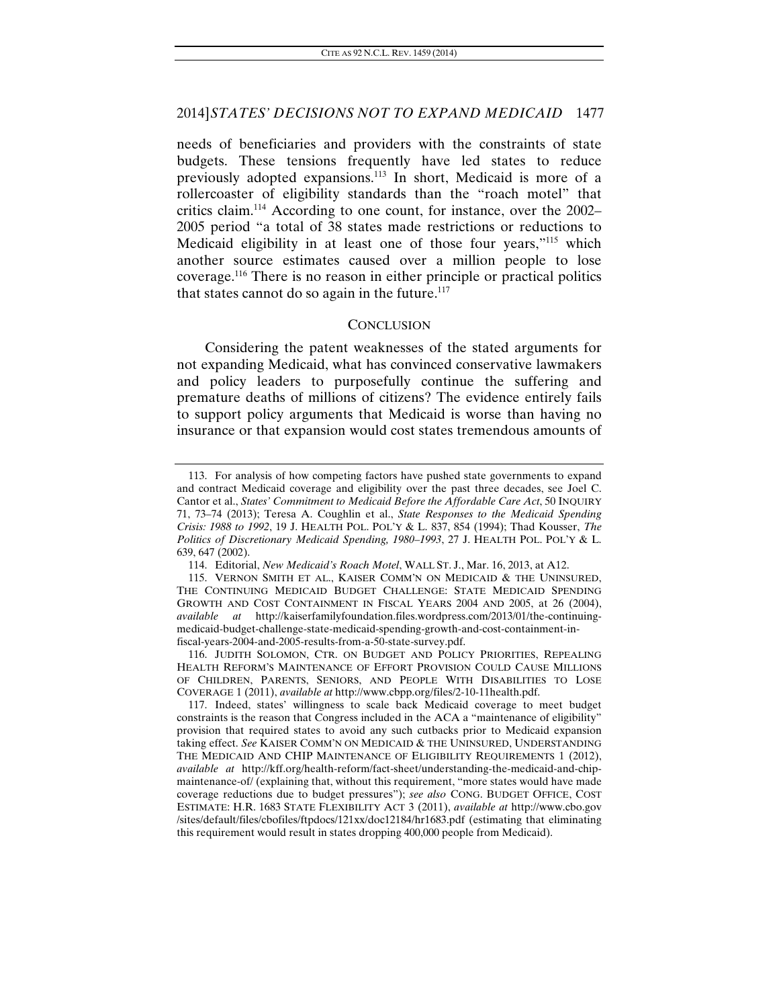needs of beneficiaries and providers with the constraints of state budgets. These tensions frequently have led states to reduce previously adopted expansions.113 In short, Medicaid is more of a rollercoaster of eligibility standards than the "roach motel" that critics claim.114 According to one count, for instance, over the 2002– 2005 period "a total of 38 states made restrictions or reductions to Medicaid eligibility in at least one of those four years,"115 which another source estimates caused over a million people to lose coverage.116 There is no reason in either principle or practical politics that states cannot do so again in the future. $117$ 

#### **CONCLUSION**

Considering the patent weaknesses of the stated arguments for not expanding Medicaid, what has convinced conservative lawmakers and policy leaders to purposefully continue the suffering and premature deaths of millions of citizens? The evidence entirely fails to support policy arguments that Medicaid is worse than having no insurance or that expansion would cost states tremendous amounts of

 116. JUDITH SOLOMON, CTR. ON BUDGET AND POLICY PRIORITIES, REPEALING HEALTH REFORM'S MAINTENANCE OF EFFORT PROVISION COULD CAUSE MILLIONS OF CHILDREN, PARENTS, SENIORS, AND PEOPLE WITH DISABILITIES TO LOSE COVERAGE 1 (2011), *available at* http://www.cbpp.org/files/2-10-11health.pdf.

 <sup>113.</sup> For analysis of how competing factors have pushed state governments to expand and contract Medicaid coverage and eligibility over the past three decades, see Joel C. Cantor et al., *States' Commitment to Medicaid Before the Affordable Care Act*, 50 INQUIRY 71, 73–74 (2013); Teresa A. Coughlin et al., *State Responses to the Medicaid Spending Crisis: 1988 to 1992*, 19 J. HEALTH POL. POL'Y & L. 837, 854 (1994); Thad Kousser, *The Politics of Discretionary Medicaid Spending, 1980–1993*, 27 J. HEALTH POL. POL'Y & L. 639, 647 (2002).

 <sup>114.</sup> Editorial, *New Medicaid's Roach Motel*, WALL ST. J., Mar. 16, 2013, at A12.

 <sup>115.</sup> VERNON SMITH ET AL., KAISER COMM'N ON MEDICAID & THE UNINSURED, THE CONTINUING MEDICAID BUDGET CHALLENGE: STATE MEDICAID SPENDING GROWTH AND COST CONTAINMENT IN FISCAL YEARS 2004 AND 2005, at 26 (2004), *available at* http://kaiserfamilyfoundation.files.wordpress.com/2013/01/the-continuingmedicaid-budget-challenge-state-medicaid-spending-growth-and-cost-containment-infiscal-years-2004-and-2005-results-from-a-50-state-survey.pdf.

 <sup>117.</sup> Indeed, states' willingness to scale back Medicaid coverage to meet budget constraints is the reason that Congress included in the ACA a "maintenance of eligibility" provision that required states to avoid any such cutbacks prior to Medicaid expansion taking effect. *See* KAISER COMM'N ON MEDICAID & THE UNINSURED, UNDERSTANDING THE MEDICAID AND CHIP MAINTENANCE OF ELIGIBILITY REQUIREMENTS 1 (2012), *available at* http://kff.org/health-reform/fact-sheet/understanding-the-medicaid-and-chipmaintenance-of/ (explaining that, without this requirement, "more states would have made coverage reductions due to budget pressures"); *see also* CONG. BUDGET OFFICE, COST ESTIMATE: H.R. 1683 STATE FLEXIBILITY ACT 3 (2011), *available at* http://www.cbo.gov /sites/default/files/cbofiles/ftpdocs/121xx/doc12184/hr1683.pdf (estimating that eliminating this requirement would result in states dropping 400,000 people from Medicaid).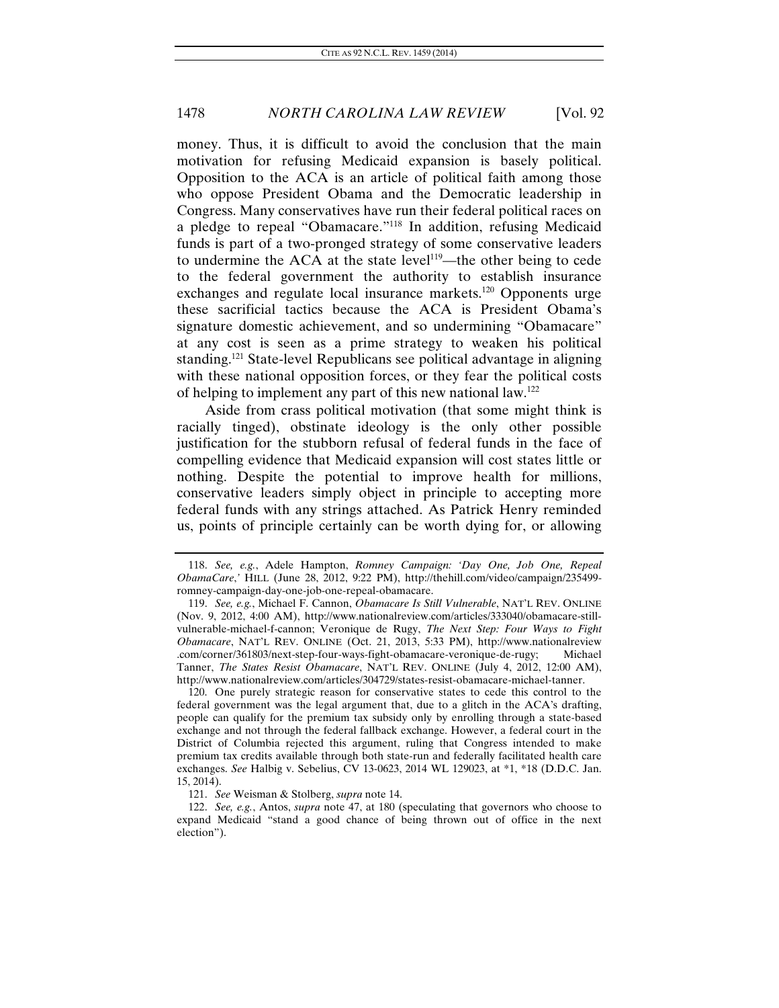money. Thus, it is difficult to avoid the conclusion that the main motivation for refusing Medicaid expansion is basely political. Opposition to the ACA is an article of political faith among those who oppose President Obama and the Democratic leadership in Congress. Many conservatives have run their federal political races on a pledge to repeal "Obamacare."118 In addition, refusing Medicaid funds is part of a two-pronged strategy of some conservative leaders to undermine the ACA at the state level<sup>119</sup>—the other being to cede to the federal government the authority to establish insurance exchanges and regulate local insurance markets.<sup>120</sup> Opponents urge these sacrificial tactics because the ACA is President Obama's signature domestic achievement, and so undermining "Obamacare" at any cost is seen as a prime strategy to weaken his political standing.<sup>121</sup> State-level Republicans see political advantage in aligning with these national opposition forces, or they fear the political costs of helping to implement any part of this new national law.122

Aside from crass political motivation (that some might think is racially tinged), obstinate ideology is the only other possible justification for the stubborn refusal of federal funds in the face of compelling evidence that Medicaid expansion will cost states little or nothing. Despite the potential to improve health for millions, conservative leaders simply object in principle to accepting more federal funds with any strings attached. As Patrick Henry reminded us, points of principle certainly can be worth dying for, or allowing

 120. One purely strategic reason for conservative states to cede this control to the federal government was the legal argument that, due to a glitch in the ACA's drafting, people can qualify for the premium tax subsidy only by enrolling through a state-based exchange and not through the federal fallback exchange. However, a federal court in the District of Columbia rejected this argument, ruling that Congress intended to make premium tax credits available through both state-run and federally facilitated health care exchanges. *See* Halbig v. Sebelius, CV 13-0623, 2014 WL 129023, at \*1, \*18 (D.D.C. Jan. 15, 2014).

<sup>118.</sup> *See, e.g.*, Adele Hampton, *Romney Campaign: 'Day One, Job One, Repeal ObamaCare*,*'* HILL (June 28, 2012, 9:22 PM), http://thehill.com/video/campaign/235499 romney-campaign-day-one-job-one-repeal-obamacare.

<sup>119.</sup> *See, e.g.*, Michael F. Cannon, *Obamacare Is Still Vulnerable*, NAT'L REV. ONLINE (Nov. 9, 2012, 4:00 AM), http://www.nationalreview.com/articles/333040/obamacare-stillvulnerable-michael-f-cannon; Veronique de Rugy, *The Next Step: Four Ways to Fight Obamacare*, NAT'L REV. ONLINE (Oct. 21, 2013, 5:33 PM), http://www.nationalreview .com/corner/361803/next-step-four-ways-fight-obamacare-veronique-de-rugy; Michael Tanner, *The States Resist Obamacare*, NAT'L REV. ONLINE (July 4, 2012, 12:00 AM), http://www.nationalreview.com/articles/304729/states-resist-obamacare-michael-tanner.

<sup>121.</sup> *See* Weisman & Stolberg, *supra* note 14.

<sup>122.</sup> *See, e.g.*, Antos, *supra* note 47, at 180 (speculating that governors who choose to expand Medicaid "stand a good chance of being thrown out of office in the next election").